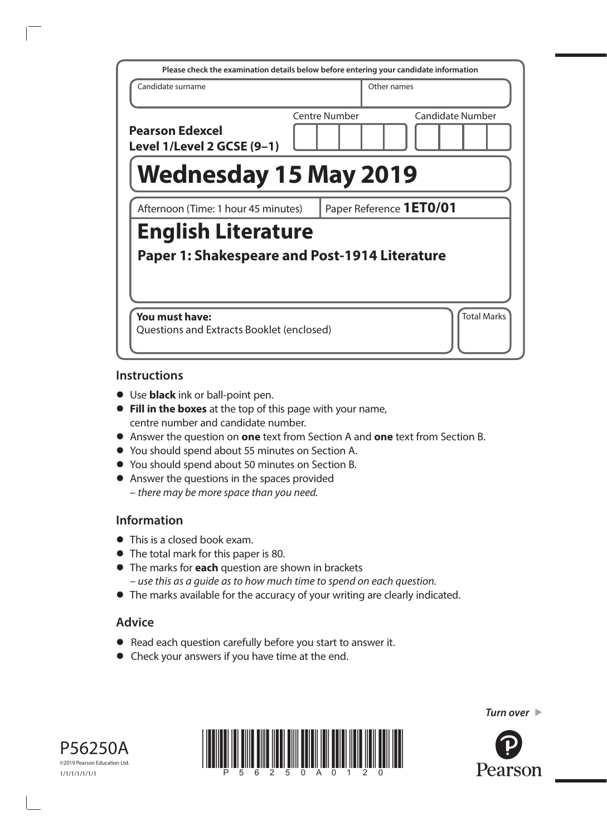|                                                             | Please check the examination details below before entering your candidate information |
|-------------------------------------------------------------|---------------------------------------------------------------------------------------|
| Candidate surname                                           | Other names                                                                           |
| <b>Pearson Edexcel</b><br>Level 1/Level 2 GCSE (9-1)        | Candidate Number<br>Centre Number                                                     |
| <b>Wednesday 15 May 2019</b>                                |                                                                                       |
| Afternoon (Time: 1 hour 45 minutes)                         | Paper Reference 1ET0/01                                                               |
| <b>English Literature</b>                                   |                                                                                       |
| <b>Paper 1: Shakespeare and Post-1914 Literature</b>        |                                                                                       |
|                                                             |                                                                                       |
| You must have:<br>Questions and Extracts Booklet (enclosed) | <b>Total Marks</b>                                                                    |

#### **Instructions**

- **•** Use **black** ink or ball-point pen.
- **• Fill in the boxes** at the top of this page with your name, centre number and candidate number.
- **•** Answer the question on **one** text from Section A and **one** text from Section B.
- **•** You should spend about 55 minutes on Section A.
- **•** You should spend about 50 minutes on Section B.
- **•** Answer the questions in the spaces provided *– there may be more space than you need.*

#### **Information**

- **•** This is a closed book exam.
- **•** The total mark for this paper is 80.
- **•** The marks for **each** question are shown in brackets *– use this as a guide as to how much time to spend on each question.*
- **•** The marks available for the accuracy of your writing are clearly indicated.

#### **Advice**

- **•** Read each question carefully before you start to answer it.
- **•** Check your answers if you have time at the end.





*Turn over* 

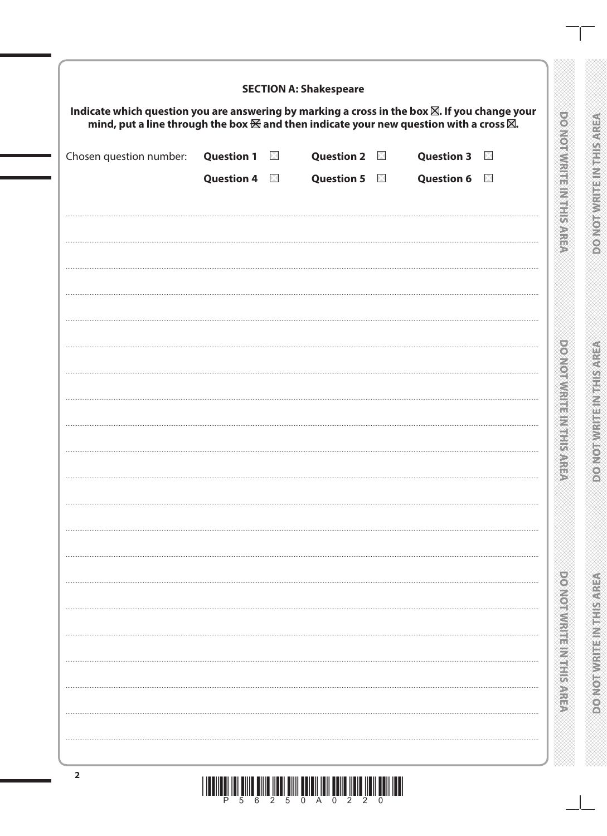| mind, put a line through the box $\boxtimes$ and then indicate your new question with a cross $\boxtimes$ . |            |            |                   |              |                                            |                  |
|-------------------------------------------------------------------------------------------------------------|------------|------------|-------------------|--------------|--------------------------------------------|------------------|
| Chosen question number: <b>Question 1</b> $\boxtimes$                                                       |            | Question 2 | Question 3        |              |                                            |                  |
|                                                                                                             | Question 4 | Question 5 | <b>Question 6</b> | $\mathbb{X}$ | <b>DOMONIARY ENVIRONMENT</b>               | <b>DONOTHING</b> |
|                                                                                                             |            |            |                   |              | <b>FOROVOIDE DE L'ESPERANTE</b>            |                  |
|                                                                                                             |            |            |                   |              | <b>DOCTORS HOTEL STATES AND THE STATES</b> |                  |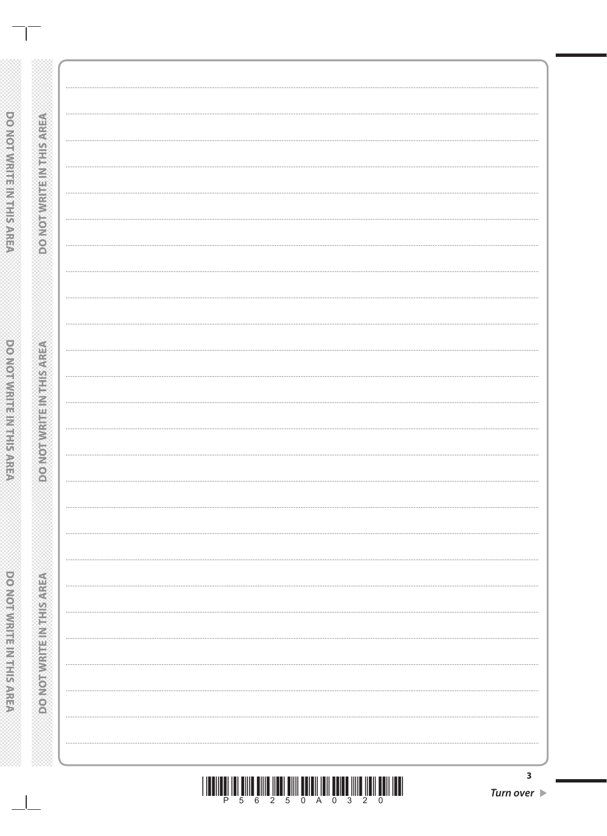$\mathbb{R}$ 

 $\perp$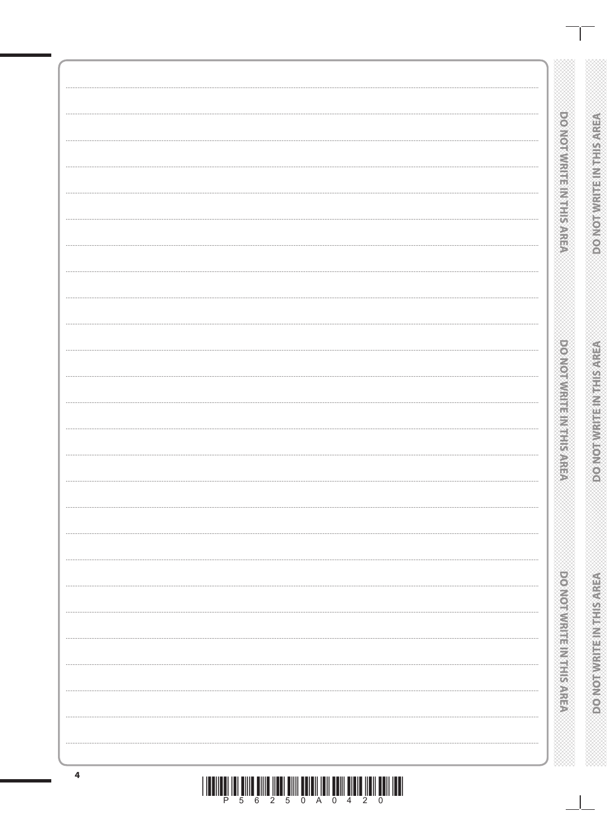| <u> I II BILDI I BILDI BILDI ILDI BILDI BILDI BILDI BILDI BILDI BILDI BILDI </u> |  |  |  |  |                       |  |
|----------------------------------------------------------------------------------|--|--|--|--|-----------------------|--|
|                                                                                  |  |  |  |  | P 5 6 2 5 0 A 0 4 2 0 |  |

| <b>DOMORATION FIRST PROVIDE</b>           |
|-------------------------------------------|
|                                           |
|                                           |
|                                           |
|                                           |
|                                           |
|                                           |
|                                           |
|                                           |
|                                           |
|                                           |
|                                           |
|                                           |
|                                           |
|                                           |
|                                           |
|                                           |
|                                           |
|                                           |
|                                           |
| <b>Market Barnet Barnet Barnet Barnet</b> |
|                                           |
|                                           |
| 思                                         |
|                                           |
|                                           |
|                                           |
|                                           |
|                                           |
|                                           |
|                                           |
|                                           |
|                                           |
|                                           |
|                                           |
|                                           |
|                                           |
|                                           |
| production the state of state of          |
|                                           |
|                                           |
|                                           |
|                                           |
|                                           |

**DONOT WRITEINTHIS AREA** 

**PONOTWATE INTHIS AREA** 

**DO NOT WRITEIN THIS AREA**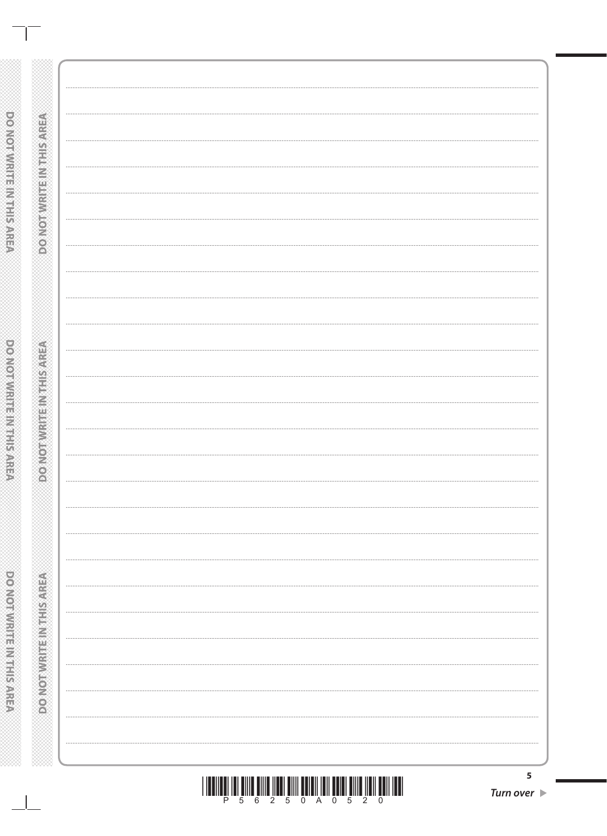| <b>DOMONATION EINVERTER</b><br>S)<br>Li<br>Ź<br>6<br>美国<br><b>DONOTWRITE WITH SARE</b><br>富富<br>Œ<br>V)<br>ĻĹ. |  |
|----------------------------------------------------------------------------------------------------------------|--|
| ria<br>Calendaria<br>Ca<br><b>DOMORATION REPORTS</b><br>Ë<br>В<br><b>WAREN</b><br><b>ROM</b><br>ğ              |  |

 $\mathbb{R}$ 

 $\perp$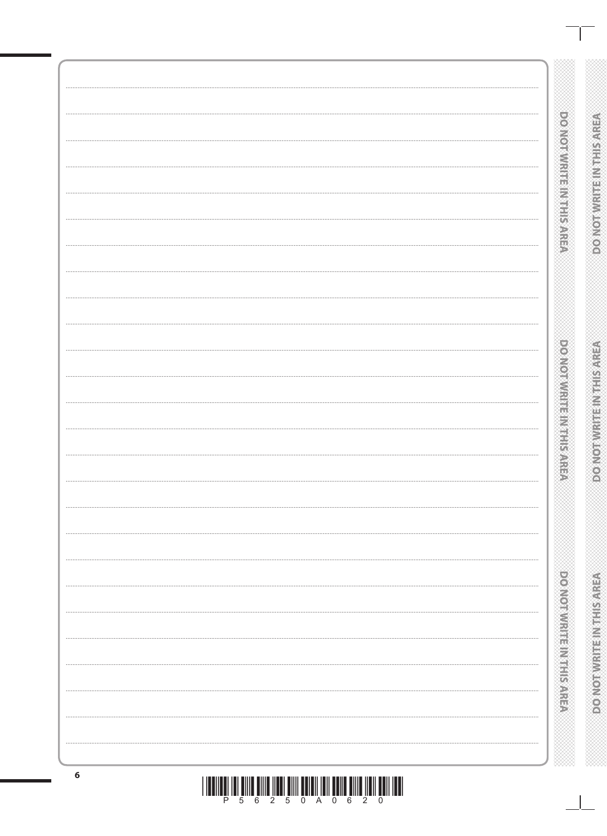| <u> I II dhe ka shi ama shah shi ama shi ka shekara mashrida n</u> |  |                       |  |  |  |  |  |
|--------------------------------------------------------------------|--|-----------------------|--|--|--|--|--|
|                                                                    |  | P 5 6 2 5 0 A 0 6 2 0 |  |  |  |  |  |

**DONOT WRITEINTHIS AREA** 

**PONOTWATE INTHIS AREA** 

**DO NOT WRITEIN THIS AREA**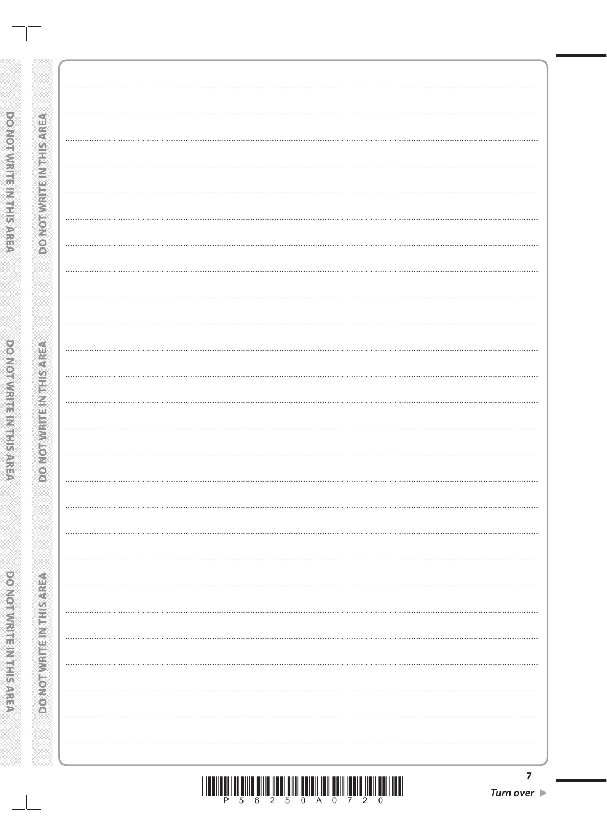| i<br>Ri<br><b>DOMORAWRITE MARKERS</b> | É<br><b>COSSIE</b><br>6<br>ä,<br>S.<br>Ŵ<br>o.<br>O<br>Ż<br>Ø<br>$\mathbf{\Omega}$ | <br> |
|---------------------------------------|------------------------------------------------------------------------------------|------|
| <b>DOMORATIVE SINGLE</b>              | G<br>F                                                                             |      |
| <b>DONOIMENTE IN ELECTRICIA</b>       | ra<br>Calendari<br>Ca<br>ť<br>ю<br><b>ESPERE</b><br>ğ                              |      |

 $\mathbb{R}$ 

 $\perp$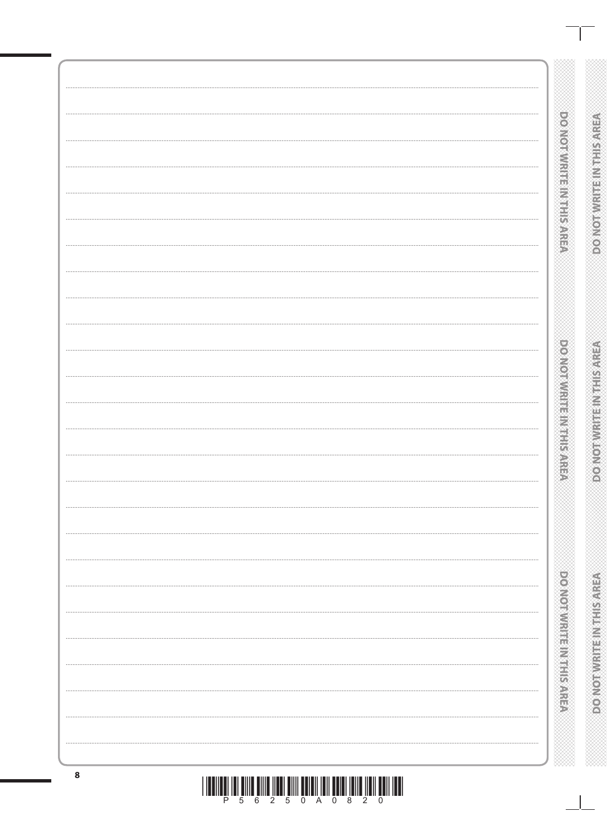| P 5 6 2 5 0 A 0 8 2 0 |  |  |  |  |  |  |
|-----------------------|--|--|--|--|--|--|

| <b>POSTO RIVERSIDENTI PROTECT</b>  |
|------------------------------------|
|                                    |
|                                    |
|                                    |
|                                    |
|                                    |
|                                    |
|                                    |
|                                    |
|                                    |
|                                    |
|                                    |
|                                    |
|                                    |
|                                    |
|                                    |
|                                    |
|                                    |
|                                    |
|                                    |
|                                    |
|                                    |
|                                    |
|                                    |
| <b>PONGRAPH CONTROLLER</b>         |
|                                    |
|                                    |
|                                    |
|                                    |
| 雲<br>.                             |
|                                    |
|                                    |
|                                    |
|                                    |
|                                    |
|                                    |
|                                    |
|                                    |
|                                    |
|                                    |
|                                    |
|                                    |
| professional state of the state of |
|                                    |
|                                    |
|                                    |
|                                    |
|                                    |
|                                    |
|                                    |
|                                    |
|                                    |
|                                    |
|                                    |

**DONOT WRITEINTHIS AREA** 

**PONOTWATE INTHIS AREA** 

**PONOTWRITEIN THIS AREA**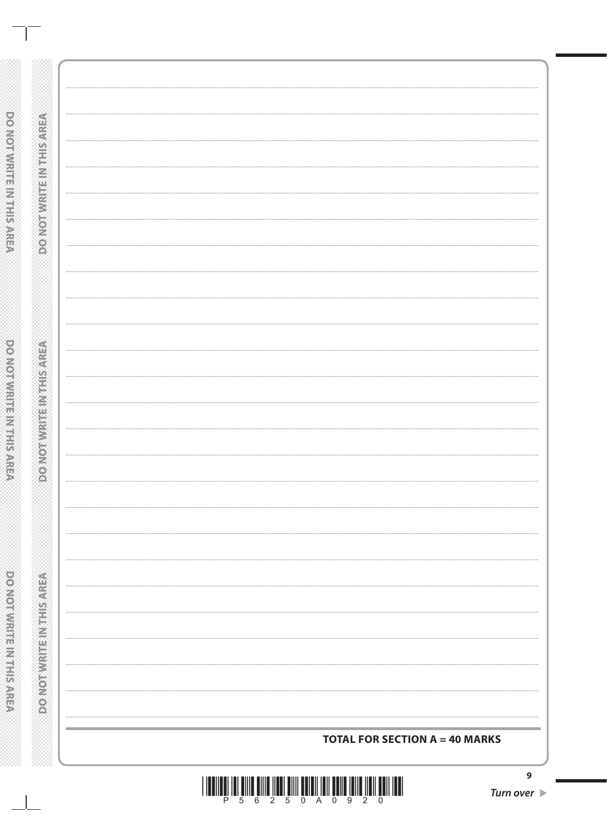$\mathbb{R}$ 

DO NOT WRITE IN THIS AREA

**DOWNWRITEINING** 

DOOMOTIVIRIUEIMENHONGER

 $\Box$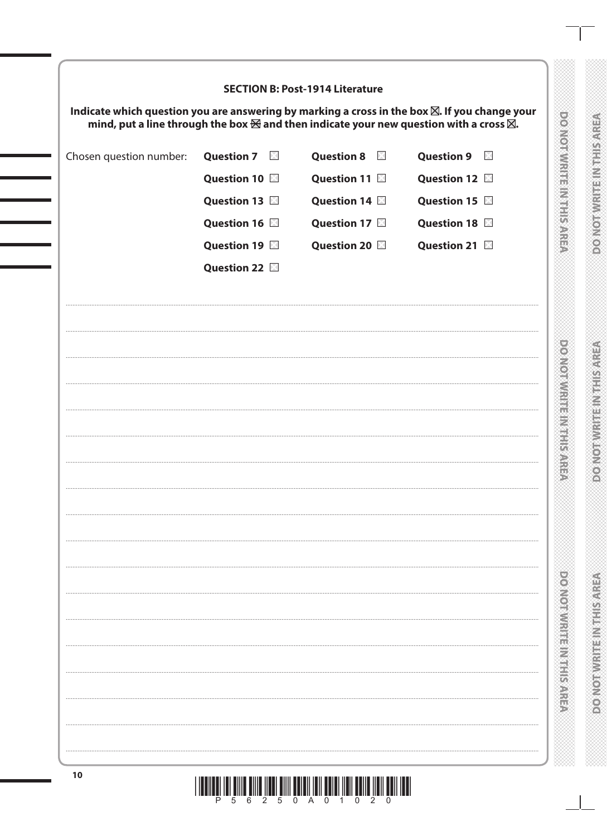| SECTION B: Post-1914 Literature |  |
|---------------------------------|--|
|---------------------------------|--|

Indicate which question you are answering by marking a cross in the box  $\boxtimes$ . If you change your mind, put a line through the box  $\boxtimes$  and then indicate your new question with a cross  $\boxtimes$ .

DOMOTIVIRIE IN THIS AREA

**DOMOTIVIRIENT IF IS AREA** 

DO NOT WRITE IN THIS AREA

**DOMOTIVISTEINTHIS AREA** 

**DOMORWATE INSTITUTION** 

**DO NOTWRITEINITIS AREA** 

| Chosen question number: | <b>Question 7</b><br>$\mathbb{X}$ | <b>Question 8</b><br>$\mathbb{R}$ | $\mathbb{R}$<br><b>Question 9</b> |
|-------------------------|-----------------------------------|-----------------------------------|-----------------------------------|
|                         | Question 10                       | Question 11                       | Question 12                       |
|                         | Question 13                       | Question 14                       | Question 15                       |
|                         | Question 16                       | Question 17                       | Question 18                       |
|                         | Question 19                       | Question 20                       | Question 21                       |
|                         | Question 22                       |                                   |                                   |
|                         |                                   |                                   |                                   |

Έ, <u>5 6 2 5 0 A 0 1 0 2 0</u>

 $1.1.1.1.1.1.1$ 

. . . . . . . . . . .

. . . . . . . . . . .

..........

. . . . . . . . . .

. . . . . . . . . . .

. . . . . . . . . . .

. . . . . . . . . .

..........

. . . . . . . . . .

..........

. . . . . . . . . .

..........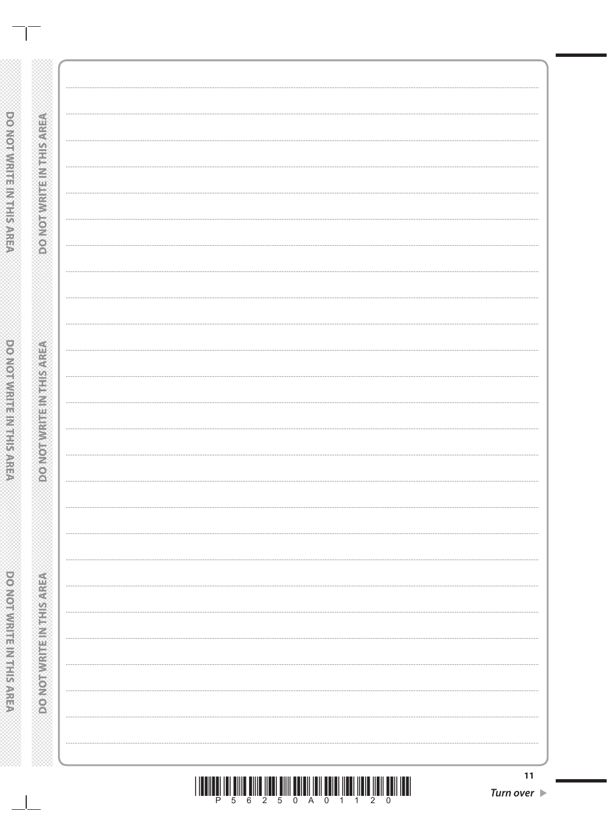a ka

DO NOTWRITE IN THIS AREA

**DOOMORDERMENTSKER** 

DOMOTIVIRIE IN THE AREA

 $\Box$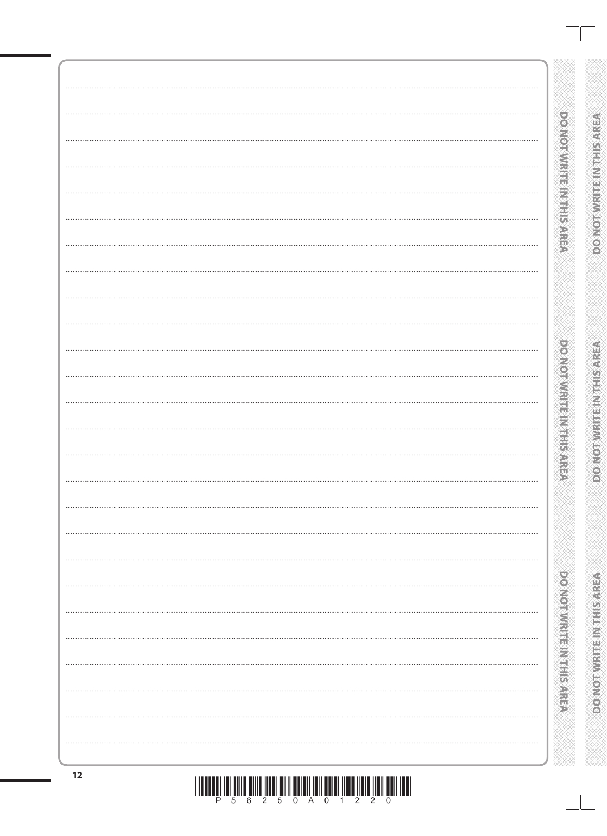|    | <b>DOO NORMAN SERVICE NAMES</b>           |                          |
|----|-------------------------------------------|--------------------------|
|    |                                           |                          |
|    |                                           |                          |
|    |                                           | <b>DOMOTHWATEM</b>       |
|    |                                           |                          |
|    |                                           |                          |
|    |                                           |                          |
|    |                                           |                          |
|    |                                           |                          |
|    |                                           | <b>THIS AREA</b>         |
|    |                                           |                          |
|    |                                           |                          |
|    | <b>FORD REPORT FOR THE REPORT OF SALE</b> |                          |
|    |                                           |                          |
|    |                                           |                          |
|    |                                           |                          |
|    |                                           |                          |
|    |                                           |                          |
|    |                                           |                          |
|    |                                           | <b>ADAM RESERVE BEES</b> |
|    |                                           |                          |
|    |                                           |                          |
|    |                                           |                          |
|    | <b>DO NO MARKET NEEDS ASSESS</b>          | e<br>C                   |
|    |                                           |                          |
|    |                                           |                          |
| 12 |                                           |                          |

I.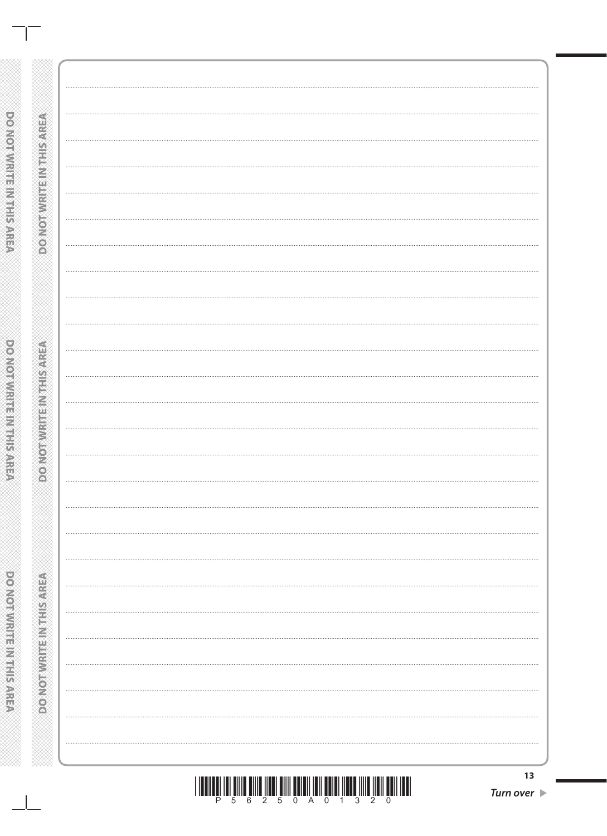| <b>ONOINER ENDER ANNO</b> |
|---------------------------|
|---------------------------|

a ka

 $\Box$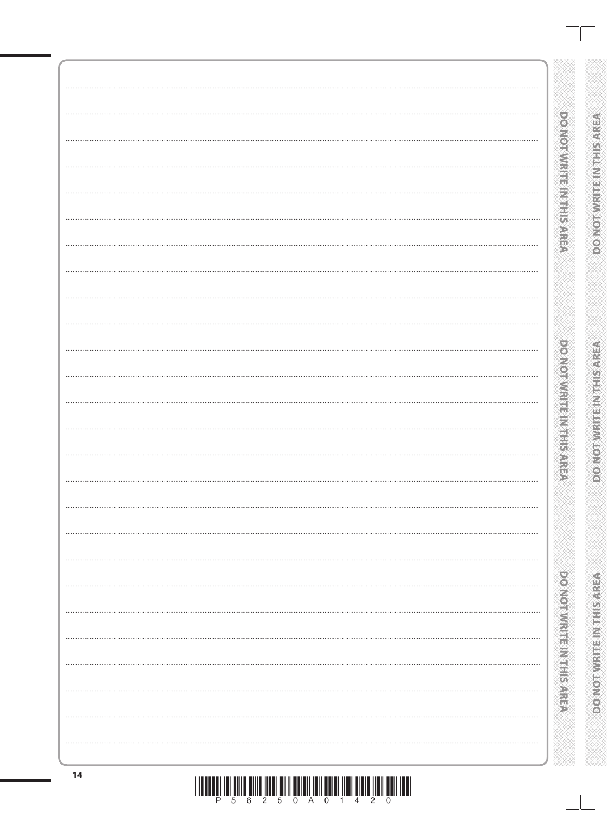| <b>RESINGER IN ESTADO NO PORTO</b> | <b>DOMOTOGRAPH</b>      | <b>DONORHER HANDLE</b>                    |
|------------------------------------|-------------------------|-------------------------------------------|
| <b>DONOSTIC PROFESSIONS</b>        | <b>PORT AND LEADERS</b> | <b>DOMOTIVE ENVIROPED</b><br>SS SS<br>SSS |
|                                    |                         |                                           |
|                                    |                         |                                           |
|                                    |                         |                                           |
|                                    |                         | <b>TION ONLY HOLL ONLY IN</b>             |

# $\begin{array}{c} \text{if} \ \text{if} \ \text{if} \ \text{if} \ \text{if} \ \text{if} \ \text{if} \ \text{if} \ \text{if} \ \text{if} \ \text{if} \ \text{if} \ \text{if} \ \text{if} \ \text{if} \ \text{if} \ \text{if} \ \text{if} \ \text{if} \ \text{if} \ \text{if} \ \text{if} \ \text{if} \ \text{if} \ \text{if} \ \text{if} \ \text{if} \ \text{if} \ \text{if} \ \text{if} \ \text{if} \ \text{if} \ \text{if} \ \text{if} \ \text{if} \ \text{$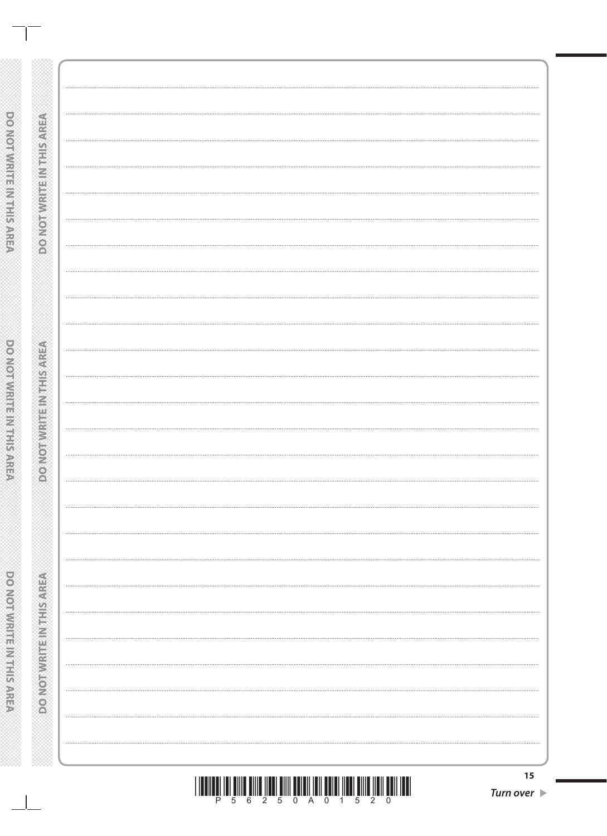a ka

 $\Box$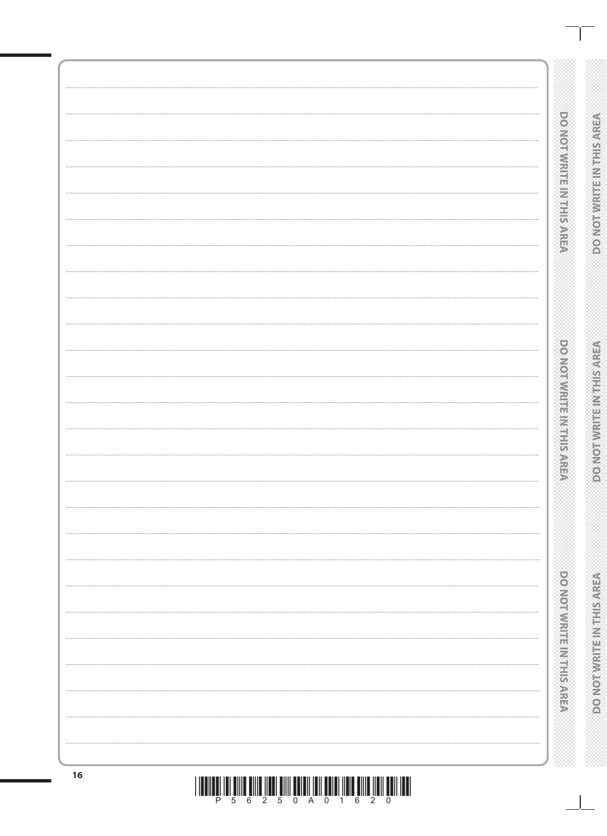|                                                                                                    | <b>PONONE REPORT</b>                                                                                        |                         |
|----------------------------------------------------------------------------------------------------|-------------------------------------------------------------------------------------------------------------|-------------------------|
|                                                                                                    |                                                                                                             | <b>Santan Estadores</b> |
|                                                                                                    |                                                                                                             |                         |
|                                                                                                    |                                                                                                             |                         |
|                                                                                                    |                                                                                                             |                         |
|                                                                                                    |                                                                                                             |                         |
|                                                                                                    |                                                                                                             |                         |
|                                                                                                    |                                                                                                             |                         |
|                                                                                                    |                                                                                                             |                         |
|                                                                                                    |                                                                                                             |                         |
|                                                                                                    |                                                                                                             |                         |
|                                                                                                    |                                                                                                             |                         |
|                                                                                                    | <b>Algebra Press, Paris, Press, Press, Paris, Press, Press, Press, Press, Press, Press, Press, Press, P</b> |                         |
|                                                                                                    |                                                                                                             | Ó.                      |
|                                                                                                    |                                                                                                             |                         |
|                                                                                                    |                                                                                                             |                         |
|                                                                                                    |                                                                                                             |                         |
|                                                                                                    |                                                                                                             |                         |
|                                                                                                    |                                                                                                             |                         |
|                                                                                                    |                                                                                                             |                         |
|                                                                                                    | <b>DOMOTIVE ENTERT STREET</b>                                                                               | <b>MELHING AGNOR</b>    |
|                                                                                                    |                                                                                                             |                         |
|                                                                                                    |                                                                                                             |                         |
|                                                                                                    |                                                                                                             |                         |
|                                                                                                    |                                                                                                             |                         |
| I<br>Ш<br>║╽<br>⊪⊪<br>⊪<br>P<br>5<br>6<br>5<br>0<br>$\mathbf 0$<br>6<br>$\mathbf 0$<br>2<br>Α<br>2 |                                                                                                             |                         |

 $\begin{minipage}{.4\linewidth} \begin{tabular}{l} \hline \textbf{1} & \textbf{2} & \textbf{3} & \textbf{4} & \textbf{5} & \textbf{6} & \textbf{6} & \textbf{7} & \textbf{8} & \textbf{9} & \textbf{10} & \textbf{10} & \textbf{10} & \textbf{10} & \textbf{10} & \textbf{10} & \textbf{10} & \textbf{10} & \textbf{10} & \textbf{10} & \textbf{10} & \textbf{10} & \textbf{10} & \textbf{10} & \textbf{10} & \textbf{10}$ 

 $\begin{minipage}{.4\linewidth} \begin{tabular}{l} \hline \textbf{1} & \textbf{2} & \textbf{3} & \textbf{4} & \textbf{5} & \textbf{6} & \textbf{6} & \textbf{7} & \textbf{8} & \textbf{9} & \textbf{10} & \textbf{10} & \textbf{10} & \textbf{10} & \textbf{10} & \textbf{10} & \textbf{10} & \textbf{10} & \textbf{10} & \textbf{10} & \textbf{10} & \textbf{10} & \textbf{10} & \textbf{10} & \textbf{10} & \textbf{10}$ 

..................................

 $\begin{minipage}{.4\linewidth} \begin{tabular}{l} \hline \textbf{1} & \textbf{2} & \textbf{3} & \textbf{4} & \textbf{5} & \textbf{6} & \textbf{6} & \textbf{7} & \textbf{8} & \textbf{9} & \textbf{10} & \textbf{10} & \textbf{10} & \textbf{10} & \textbf{10} & \textbf{10} & \textbf{10} & \textbf{10} & \textbf{10} & \textbf{10} & \textbf{10} & \textbf{10} & \textbf{10} & \textbf{10} & \textbf{10} & \textbf{10}$ 

. . . . . . .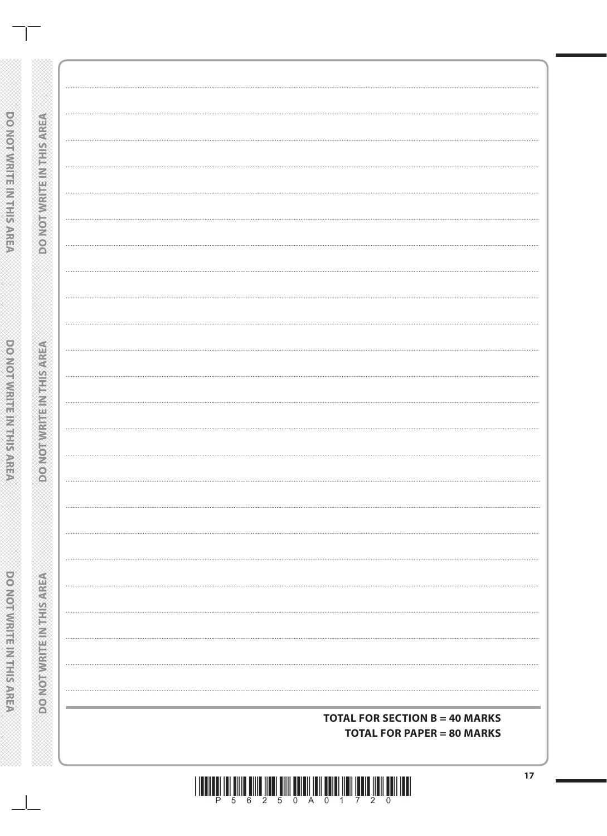| <br><br><br><br><br> |  |  |
|----------------------|--|--|
|                      |  |  |
|                      |  |  |
|                      |  |  |
|                      |  |  |
|                      |  |  |
|                      |  |  |
|                      |  |  |
|                      |  |  |

 $\Box$ 

DONOTWRITE IN THIS AREA

**DOWNWHITEINIANSWER** 

DO NOT WRITE IN THIS AREA

 $\frac{1}{2}$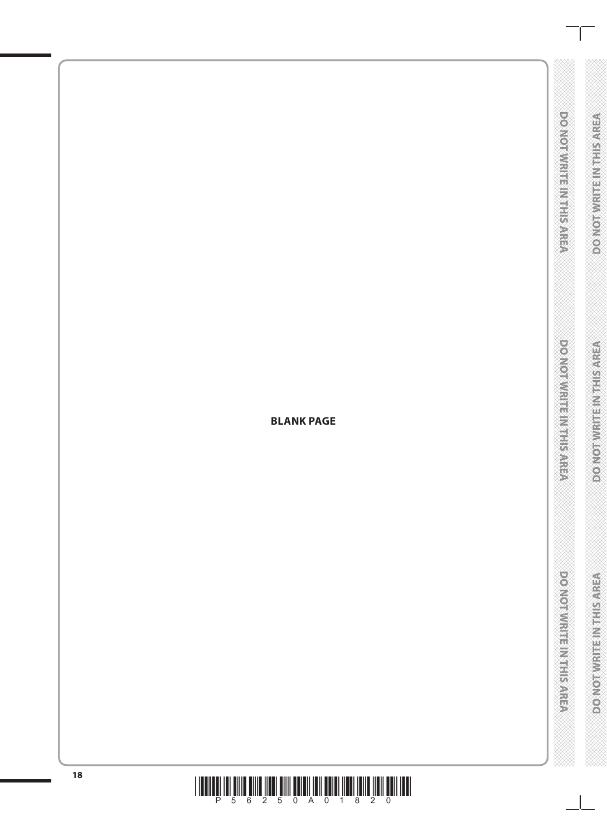## 

**DOMOTWRITEINITHISAREA** 

**DONOTWRITE IN THIS AREA** 

DONOTWRITEINTHISAREA

**DONORVIBRE INTHIS AREA** 

**BLANK PAGE**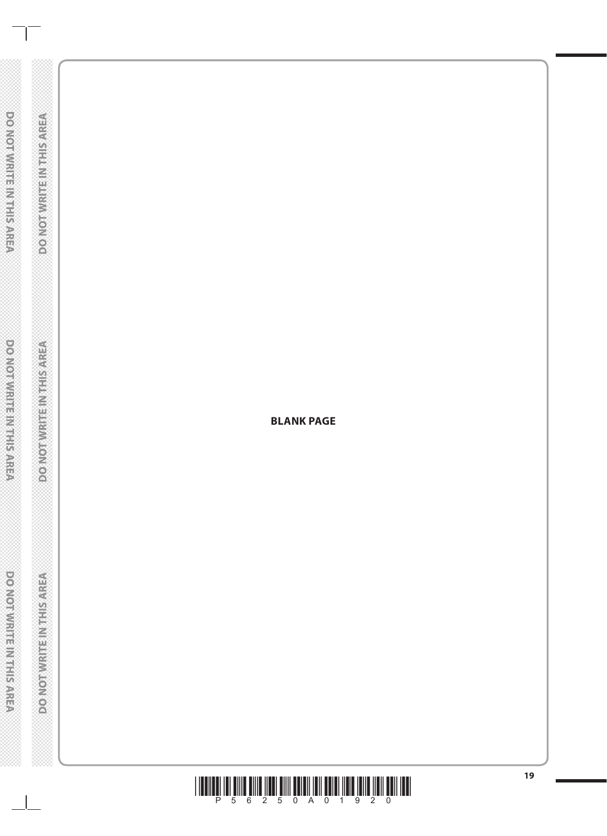$\sim 1$ 

**DOMORWIGHT INTHISAREA** 

**DO NOTAVATE INTERVERS** 

DONOT WRITEIN THIS AREA

**BLANK PAGE**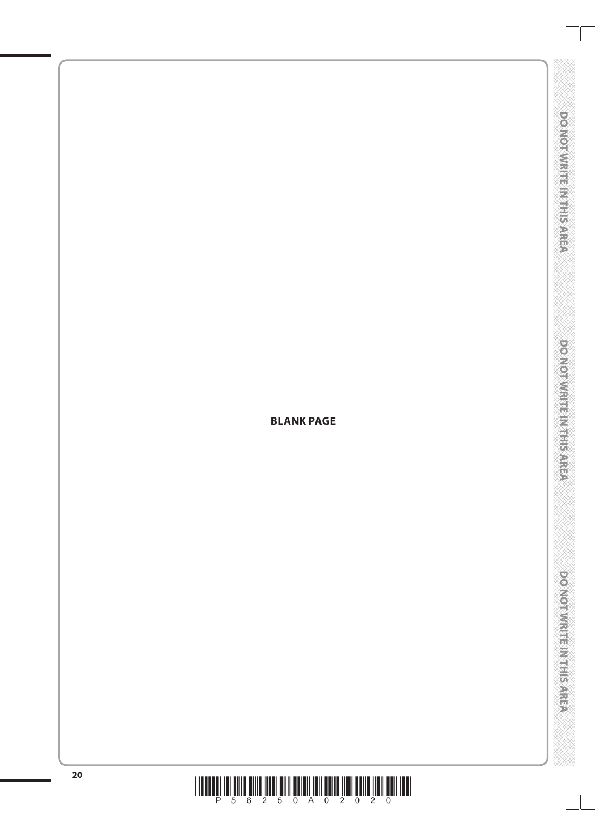# 

**BLANK PAGE** 

20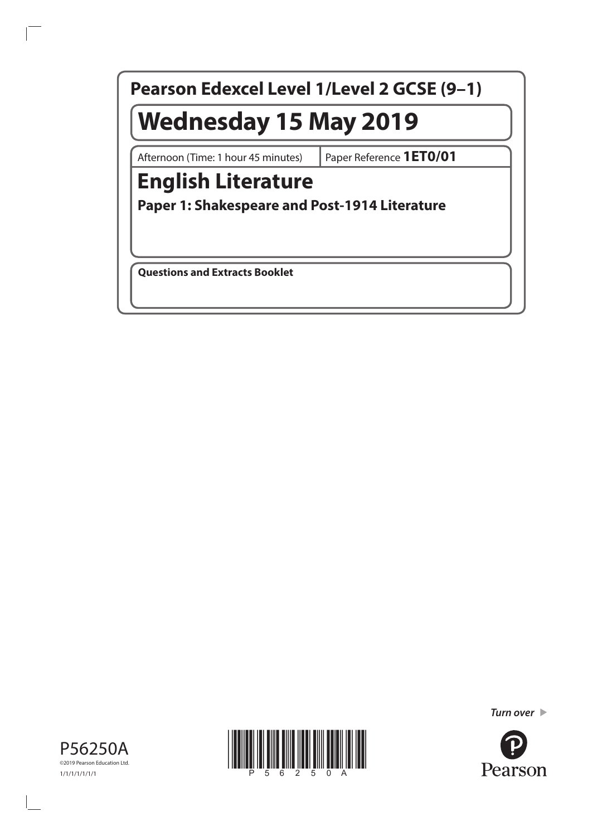### **Wednesday 15 May 2019**

Afternoon (Time: 1 hour 45 minutes) Paper Reference **1ET0/01** 

### **English Literature**

**Paper 1: Shakespeare and Post-1914 Literature**

**Questions and Extracts Booklet**







*Turn over*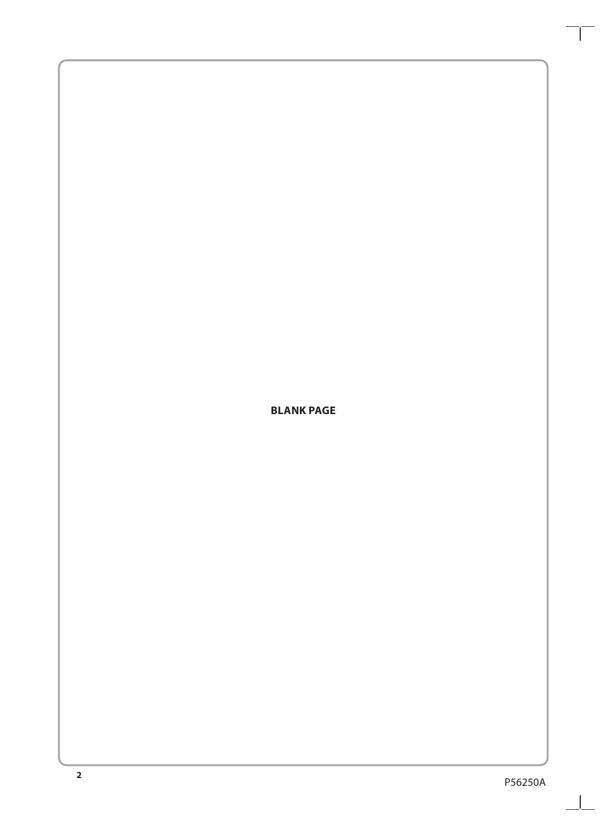#### **BLANK PAGE**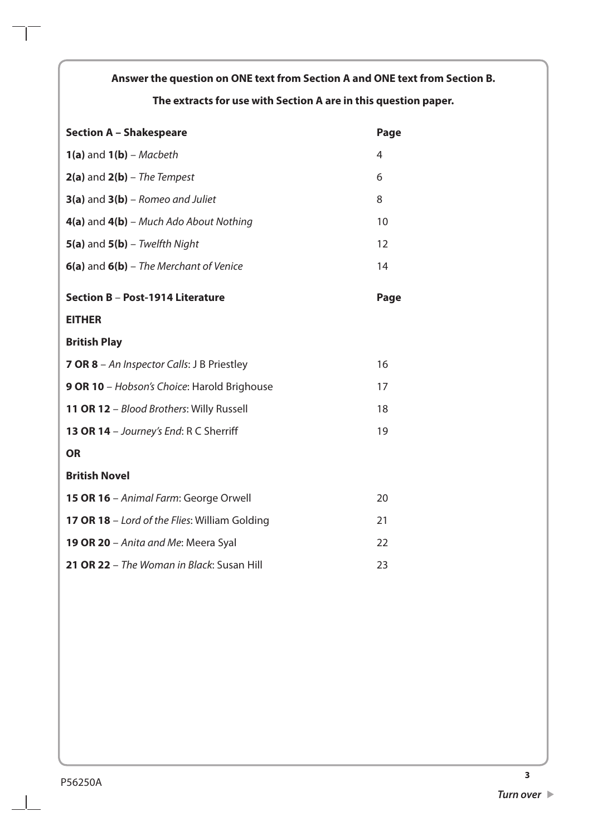#### **Answer the question on ONE text from Section A and ONE text from Section B.**

#### **The extracts for use with Section A are in this question paper.**

| <b>Section A - Shakespeare</b>                | Page |
|-----------------------------------------------|------|
| 1(a) and $1(b)$ – Macbeth                     | 4    |
| $2(a)$ and $2(b)$ – The Tempest               | 6    |
| $3(a)$ and $3(b)$ – Romeo and Juliet          | 8    |
| $4(a)$ and $4(b)$ – Much Ado About Nothing    | 10   |
| 5(a) and $5(b)$ – Twelfth Night               | 12   |
| 6(a) and 6(b) - The Merchant of Venice        | 14   |
| Section B - Post-1914 Literature              | Page |
| <b>EITHER</b>                                 |      |
| <b>British Play</b>                           |      |
| 7 OR 8 - An Inspector Calls: J B Priestley    | 16   |
| 9 OR 10 - Hobson's Choice: Harold Brighouse   | 17   |
| 11 OR 12 - Blood Brothers: Willy Russell      | 18   |
| 13 OR 14 - Journey's End: R C Sherriff        | 19   |
| <b>OR</b>                                     |      |
| <b>British Novel</b>                          |      |
| 15 OR 16 - Animal Farm: George Orwell         | 20   |
| 17 OR 18 - Lord of the Flies: William Golding | 21   |
| 19 OR 20 - Anita and Me: Meera Syal           | 22   |
| 21 OR 22 - The Woman in Black: Susan Hill     | 23   |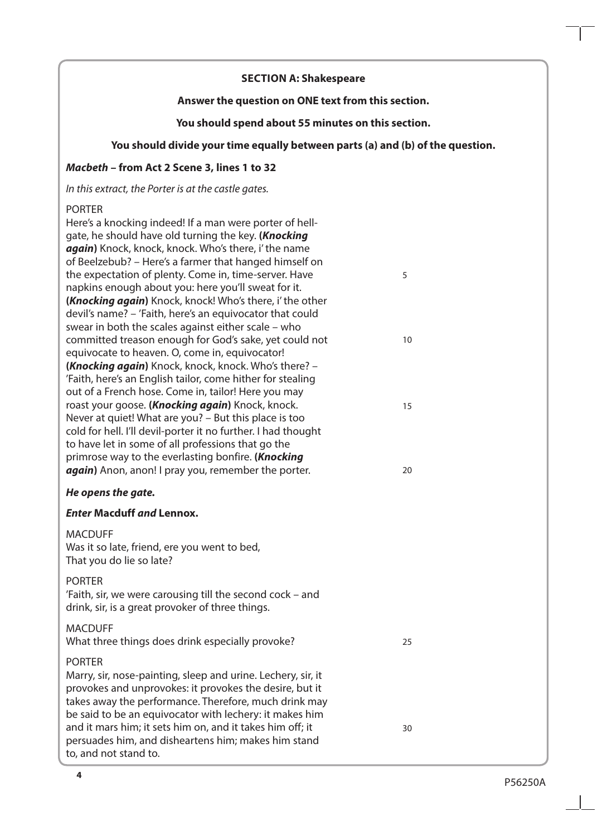#### **SECTION A: Shakespeare**

#### **Answer the question on ONE text from this section.**

#### **You should spend about 55 minutes on this section.**

#### **You should divide your time equally between parts (a) and (b) of the question.**

#### *Macbeth* **– from Act 2 Scene 3, lines 1 to 32**

*In this extract, the Porter is at the castle gates.*

#### PORTER

| 5  |
|----|
|    |
|    |
|    |
|    |
| 10 |
|    |
|    |
|    |
|    |
| 15 |
|    |
|    |
|    |
|    |
| 20 |
|    |
|    |
|    |
|    |
|    |
|    |
|    |
|    |
|    |
|    |
| 25 |
|    |
|    |

Marry, sir, nose-painting, sleep and urine. Lechery, sir, it provokes and unprovokes: it provokes the desire, but it takes away the performance. Therefore, much drink may be said to be an equivocator with lechery: it makes him and it mars him; it sets him on, and it takes him off; it persuades him, and disheartens him; makes him stand to, and not stand to.

30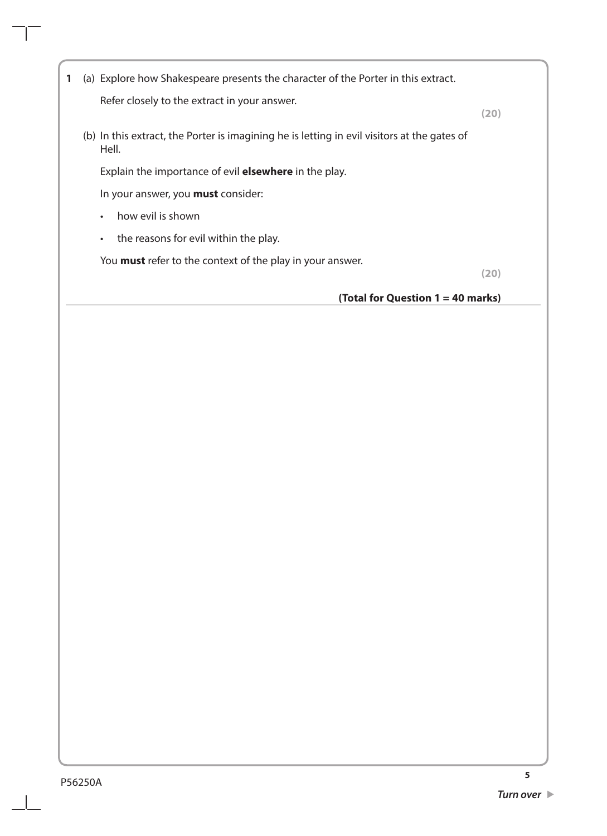| (a) Explore how Shakespeare presents the character of the Porter in this extract.                    |                                     |
|------------------------------------------------------------------------------------------------------|-------------------------------------|
| Refer closely to the extract in your answer.                                                         | (20)                                |
| (b) In this extract, the Porter is imagining he is letting in evil visitors at the gates of<br>Hell. |                                     |
| Explain the importance of evil <b>elsewhere</b> in the play.                                         |                                     |
| In your answer, you <b>must</b> consider:                                                            |                                     |
| how evil is shown<br>$\bullet$                                                                       |                                     |
| the reasons for evil within the play.<br>$\bullet$                                                   |                                     |
| You <b>must</b> refer to the context of the play in your answer.                                     |                                     |
|                                                                                                      | (20)                                |
|                                                                                                      |                                     |
|                                                                                                      | (Total for Question $1 = 40$ marks) |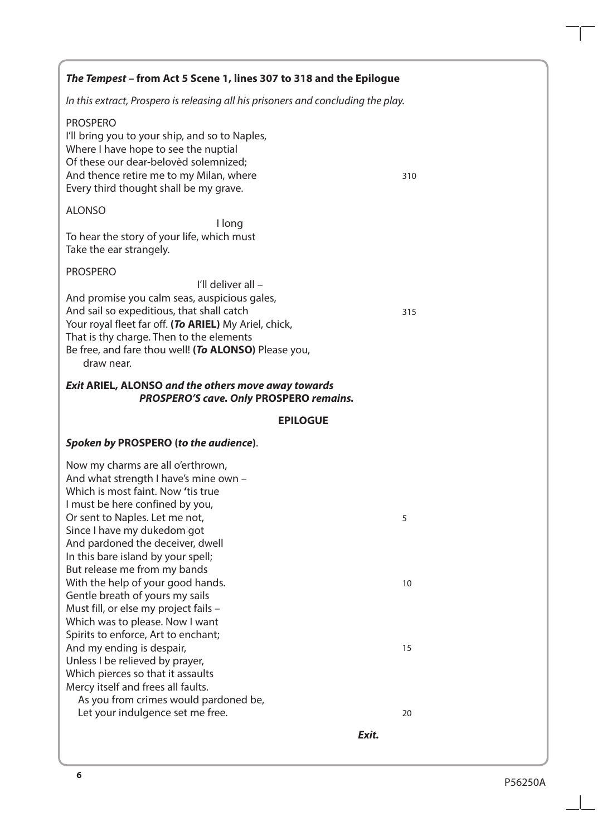| The Tempest – from Act 5 Scene 1, lines 307 to 318 and the Epilogue                                                                                                                                                                                                                        |     |
|--------------------------------------------------------------------------------------------------------------------------------------------------------------------------------------------------------------------------------------------------------------------------------------------|-----|
| In this extract, Prospero is releasing all his prisoners and concluding the play.                                                                                                                                                                                                          |     |
| <b>PROSPERO</b><br>I'll bring you to your ship, and so to Naples,<br>Where I have hope to see the nuptial<br>Of these our dear-beloved solemnized;<br>And thence retire me to my Milan, where<br>Every third thought shall be my grave.                                                    | 310 |
| <b>ALONSO</b>                                                                                                                                                                                                                                                                              |     |
| I long<br>To hear the story of your life, which must<br>Take the ear strangely.                                                                                                                                                                                                            |     |
| <b>PROSPERO</b>                                                                                                                                                                                                                                                                            |     |
| I'll deliver all -<br>And promise you calm seas, auspicious gales,<br>And sail so expeditious, that shall catch<br>Your royal fleet far off. (To ARIEL) My Ariel, chick,<br>That is thy charge. Then to the elements<br>Be free, and fare thou well! (To ALONSO) Please you,<br>draw near. | 315 |
| <b>Exit ARIEL, ALONSO and the others move away towards</b><br>PROSPERO'S cave. Only PROSPERO remains.                                                                                                                                                                                      |     |
| <b>EPILOGUE</b>                                                                                                                                                                                                                                                                            |     |
| Spoken by PROSPERO (to the audience).                                                                                                                                                                                                                                                      |     |
| Now my charms are all o'erthrown,<br>And what strength I have's mine own -                                                                                                                                                                                                                 |     |
| Which is most faint. Now 'tis true                                                                                                                                                                                                                                                         |     |
| I must be here confined by you,<br>Or sent to Naples. Let me not,<br>Since I have my dukedom got<br>And pardoned the deceiver, dwell<br>In this bare island by your spell;                                                                                                                 | 5   |
| But release me from my bands<br>With the help of your good hands.<br>Gentle breath of yours my sails<br>Must fill, or else my project fails -<br>Which was to please. Now I want                                                                                                           | 10  |
| Spirits to enforce, Art to enchant;<br>And my ending is despair,<br>Unless I be relieved by prayer,<br>Which pierces so that it assaults<br>Mercy itself and frees all faults.                                                                                                             | 15  |
| As you from crimes would pardoned be,<br>Let your indulgence set me free.                                                                                                                                                                                                                  | 20  |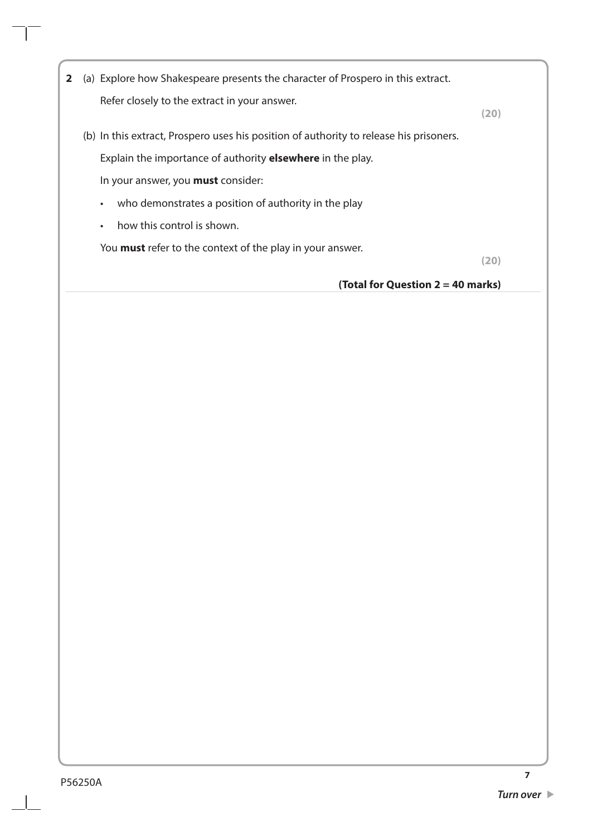| $\mathbf{2}$ | (a) Explore how Shakespeare presents the character of Prospero in this extract.        |      |
|--------------|----------------------------------------------------------------------------------------|------|
|              | Refer closely to the extract in your answer.                                           | (20) |
|              | (b) In this extract, Prospero uses his position of authority to release his prisoners. |      |
|              | Explain the importance of authority <b>elsewhere</b> in the play.                      |      |
|              | In your answer, you must consider:                                                     |      |
|              | who demonstrates a position of authority in the play<br>٠                              |      |
|              | how this control is shown.<br>$\bullet$                                                |      |
|              | You <b>must</b> refer to the context of the play in your answer.                       | (20) |
|              |                                                                                        |      |

**(Total for Question 2 = 40 marks)**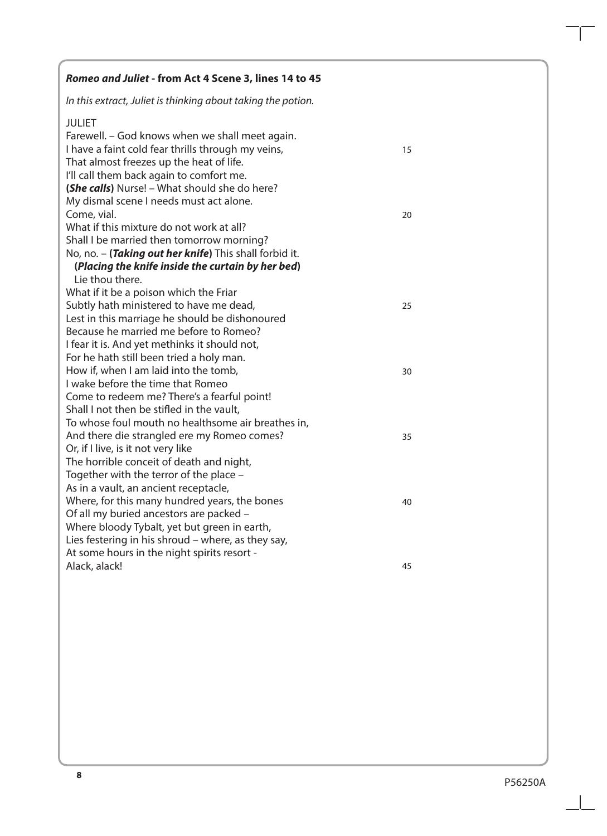#### *Romeo and Juliet* **- from Act 4 Scene 3, lines 14 to 45**

*In this extract, Juliet is thinking about taking the potion.*

| <b>JULIET</b>                                          |    |
|--------------------------------------------------------|----|
| Farewell. – God knows when we shall meet again.        |    |
| I have a faint cold fear thrills through my veins,     | 15 |
| That almost freezes up the heat of life.               |    |
| I'll call them back again to comfort me.               |    |
| (She calls) Nurse! - What should she do here?          |    |
| My dismal scene I needs must act alone.                |    |
| Come, vial.                                            | 20 |
| What if this mixture do not work at all?               |    |
| Shall I be married then tomorrow morning?              |    |
| No, no. - (Taking out her knife) This shall forbid it. |    |
| (Placing the knife inside the curtain by her bed)      |    |
| Lie thou there.                                        |    |
| What if it be a poison which the Friar                 |    |
| Subtly hath ministered to have me dead,                | 25 |
| Lest in this marriage he should be dishonoured         |    |
| Because he married me before to Romeo?                 |    |
| I fear it is. And yet methinks it should not,          |    |
| For he hath still been tried a holy man.               |    |
| How if, when I am laid into the tomb,                  | 30 |
| I wake before the time that Romeo                      |    |
| Come to redeem me? There's a fearful point!            |    |
| Shall I not then be stifled in the vault,              |    |
| To whose foul mouth no healthsome air breathes in,     |    |
| And there die strangled ere my Romeo comes?            | 35 |
| Or, if I live, is it not very like                     |    |
| The horrible conceit of death and night,               |    |
| Together with the terror of the place -                |    |
| As in a vault, an ancient receptacle,                  |    |
| Where, for this many hundred years, the bones          | 40 |
| Of all my buried ancestors are packed -                |    |
| Where bloody Tybalt, yet but green in earth,           |    |
| Lies festering in his shroud – where, as they say,     |    |
| At some hours in the night spirits resort -            |    |
| Alack, alack!                                          | 45 |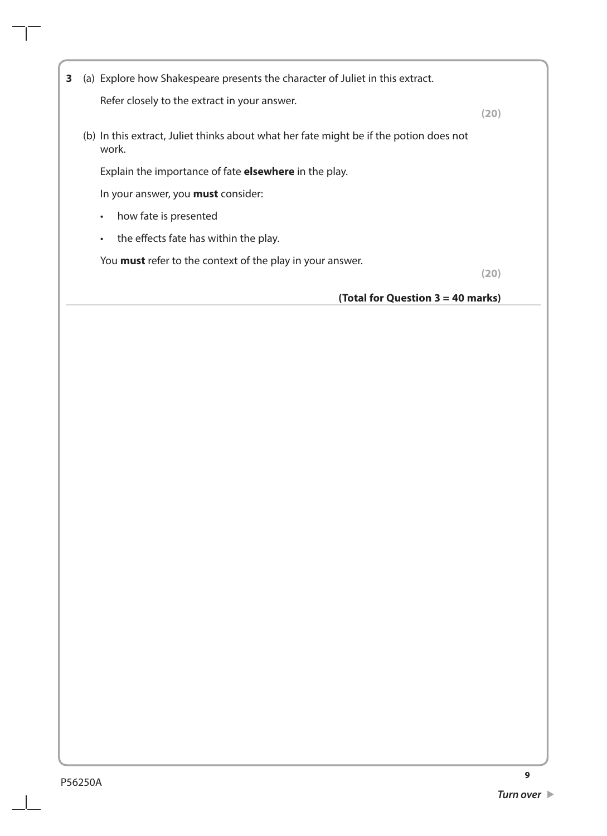| (a) Explore how Shakespeare presents the character of Juliet in this extract. |                                                                                                                             |
|-------------------------------------------------------------------------------|-----------------------------------------------------------------------------------------------------------------------------|
| Refer closely to the extract in your answer.                                  | (20)                                                                                                                        |
| work.                                                                         |                                                                                                                             |
| Explain the importance of fate <b>elsewhere</b> in the play.                  |                                                                                                                             |
| In your answer, you <b>must</b> consider:                                     |                                                                                                                             |
| how fate is presented<br>$\bullet$                                            |                                                                                                                             |
| the effects fate has within the play.<br>$\bullet$                            |                                                                                                                             |
| You <b>must</b> refer to the context of the play in your answer.              |                                                                                                                             |
|                                                                               | (20)                                                                                                                        |
|                                                                               |                                                                                                                             |
|                                                                               | (b) In this extract, Juliet thinks about what her fate might be if the potion does not<br>(Total for Question 3 = 40 marks) |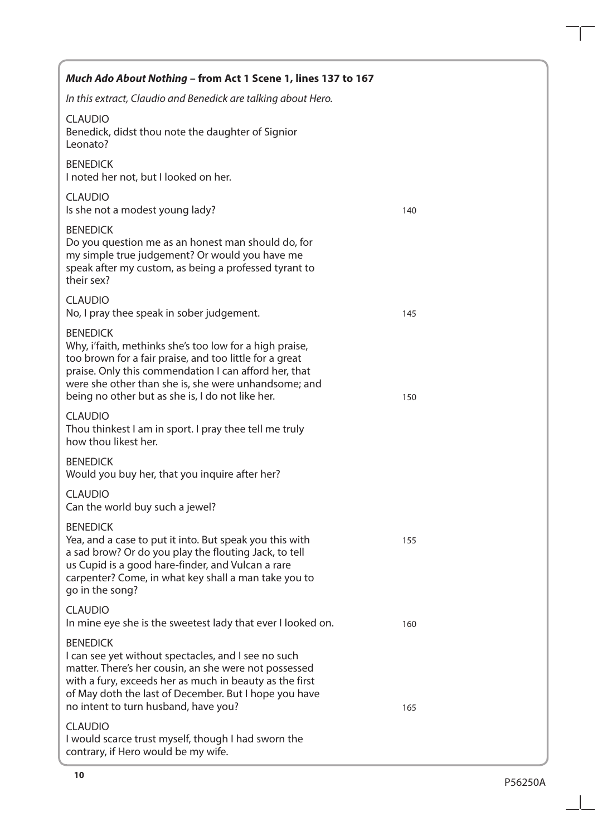| <b>Much Ado About Nothing - from Act 1 Scene 1, lines 137 to 167</b>                                                                                                                                                                                                                                       |     |
|------------------------------------------------------------------------------------------------------------------------------------------------------------------------------------------------------------------------------------------------------------------------------------------------------------|-----|
| In this extract, Claudio and Benedick are talking about Hero.                                                                                                                                                                                                                                              |     |
| <b>CLAUDIO</b><br>Benedick, didst thou note the daughter of Signior<br>Leonato?                                                                                                                                                                                                                            |     |
| <b>BENEDICK</b><br>I noted her not, but I looked on her.                                                                                                                                                                                                                                                   |     |
| <b>CLAUDIO</b><br>Is she not a modest young lady?                                                                                                                                                                                                                                                          | 140 |
| <b>BENEDICK</b><br>Do you question me as an honest man should do, for<br>my simple true judgement? Or would you have me<br>speak after my custom, as being a professed tyrant to<br>their sex?                                                                                                             |     |
| <b>CLAUDIO</b><br>No, I pray thee speak in sober judgement.                                                                                                                                                                                                                                                | 145 |
| <b>BENEDICK</b><br>Why, i'faith, methinks she's too low for a high praise,<br>too brown for a fair praise, and too little for a great<br>praise. Only this commendation I can afford her, that<br>were she other than she is, she were unhandsome; and<br>being no other but as she is, I do not like her. | 150 |
| <b>CLAUDIO</b><br>Thou thinkest I am in sport. I pray thee tell me truly<br>how thou likest her.                                                                                                                                                                                                           |     |
| <b>BENEDICK</b><br>Would you buy her, that you inquire after her?                                                                                                                                                                                                                                          |     |
| <b>CLAUDIO</b><br>Can the world buy such a jewel?                                                                                                                                                                                                                                                          |     |
| <b>BENEDICK</b><br>Yea, and a case to put it into. But speak you this with<br>a sad brow? Or do you play the flouting Jack, to tell<br>us Cupid is a good hare-finder, and Vulcan a rare<br>carpenter? Come, in what key shall a man take you to<br>go in the song?                                        | 155 |
| <b>CLAUDIO</b><br>In mine eye she is the sweetest lady that ever I looked on.                                                                                                                                                                                                                              | 160 |
| <b>BENEDICK</b><br>I can see yet without spectacles, and I see no such<br>matter. There's her cousin, an she were not possessed<br>with a fury, exceeds her as much in beauty as the first<br>of May doth the last of December. But I hope you have<br>no intent to turn husband, have you?                | 165 |
| <b>CLAUDIO</b><br>I would scarce trust myself, though I had sworn the<br>contrary, if Hero would be my wife.                                                                                                                                                                                               |     |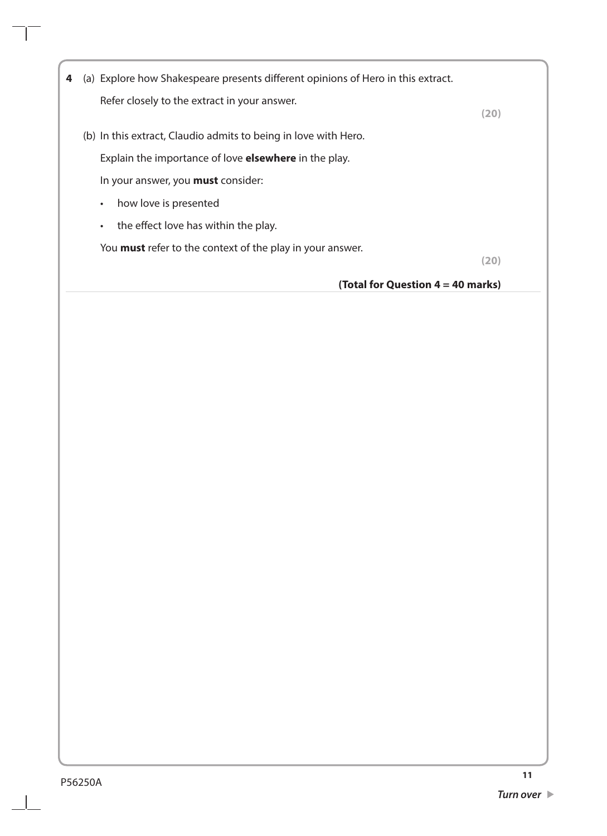| 4 | (a) Explore how Shakespeare presents different opinions of Hero in this extract. |      |
|---|----------------------------------------------------------------------------------|------|
|   | Refer closely to the extract in your answer.                                     |      |
|   | (b) In this extract, Claudio admits to being in love with Hero.                  | (20) |
|   | Explain the importance of love <b>elsewhere</b> in the play.                     |      |
|   | In your answer, you <b>must</b> consider:                                        |      |
|   | how love is presented<br>$\bullet$                                               |      |
|   | the effect love has within the play.<br>$\bullet$                                |      |
|   | You must refer to the context of the play in your answer.                        | (20) |
|   | (Total for Question 4 = 40 marks)                                                |      |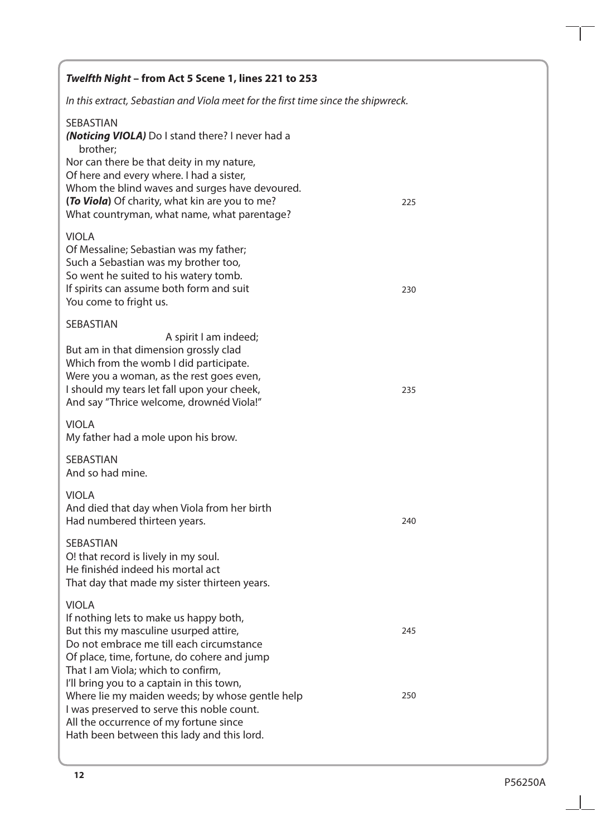### *Twelfth Night* **– from Act 5 Scene 1, lines 221 to 253**

*In this extract, Sebastian and Viola meet for the first time since the shipwreck.* 

| <b>SEBASTIAN</b><br>(Noticing VIOLA) Do I stand there? I never had a<br>brother;<br>Nor can there be that deity in my nature,<br>Of here and every where. I had a sister,<br>Whom the blind waves and surges have devoured.<br>(To Viola) Of charity, what kin are you to me?<br>What countryman, what name, what parentage? | 225 |
|------------------------------------------------------------------------------------------------------------------------------------------------------------------------------------------------------------------------------------------------------------------------------------------------------------------------------|-----|
| <b>VIOLA</b><br>Of Messaline; Sebastian was my father;<br>Such a Sebastian was my brother too,<br>So went he suited to his watery tomb.<br>If spirits can assume both form and suit<br>You come to fright us.                                                                                                                | 230 |
| <b>SEBASTIAN</b><br>A spirit I am indeed;                                                                                                                                                                                                                                                                                    |     |
| But am in that dimension grossly clad<br>Which from the womb I did participate.<br>Were you a woman, as the rest goes even,<br>I should my tears let fall upon your cheek,<br>And say "Thrice welcome, drownéd Viola!"                                                                                                       | 235 |
| <b>VIOLA</b><br>My father had a mole upon his brow.                                                                                                                                                                                                                                                                          |     |
| <b>SEBASTIAN</b><br>And so had mine.                                                                                                                                                                                                                                                                                         |     |
| <b>VIOLA</b><br>And died that day when Viola from her birth<br>Had numbered thirteen years.                                                                                                                                                                                                                                  | 240 |
| <b>SEBASTIAN</b><br>O! that record is lively in my soul.<br>He finishéd indeed his mortal act<br>That day that made my sister thirteen years.                                                                                                                                                                                |     |
| <b>VIOLA</b><br>If nothing lets to make us happy both,<br>But this my masculine usurped attire,<br>Do not embrace me till each circumstance<br>Of place, time, fortune, do cohere and jump<br>That I am Viola; which to confirm,                                                                                             | 245 |
| I'll bring you to a captain in this town,<br>Where lie my maiden weeds; by whose gentle help<br>I was preserved to serve this noble count.<br>All the occurrence of my fortune since<br>Hath been between this lady and this lord.                                                                                           | 250 |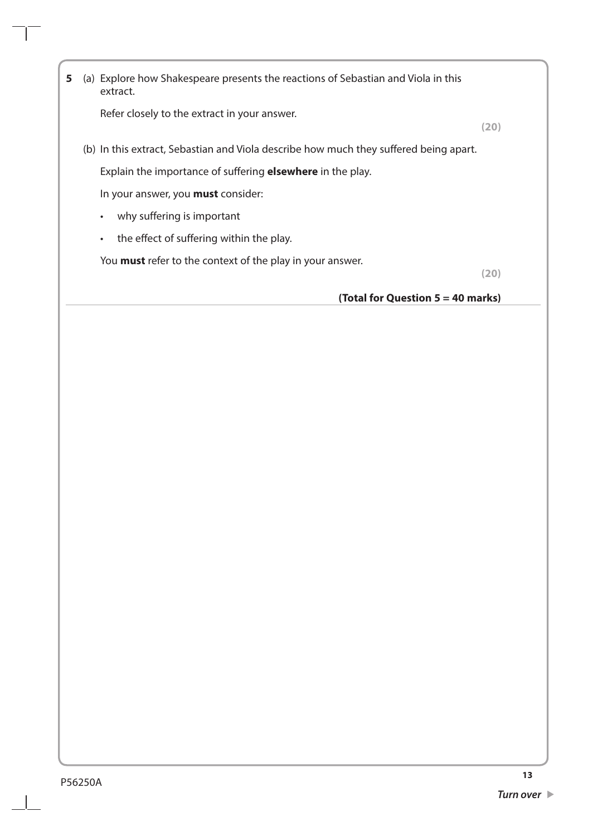| 5 | (a) Explore how Shakespeare presents the reactions of Sebastian and Viola in this<br>extract. |      |
|---|-----------------------------------------------------------------------------------------------|------|
|   | Refer closely to the extract in your answer.                                                  | (20) |
|   | (b) In this extract, Sebastian and Viola describe how much they suffered being apart.         |      |
|   | Explain the importance of suffering <b>elsewhere</b> in the play.                             |      |
|   | In your answer, you <b>must</b> consider:                                                     |      |
|   | why suffering is important<br>٠                                                               |      |
|   | the effect of suffering within the play.<br>$\bullet$                                         |      |
|   | You <b>must</b> refer to the context of the play in your answer.                              |      |
|   |                                                                                               | (20) |
|   | (Total for Question $5 = 40$ marks)                                                           |      |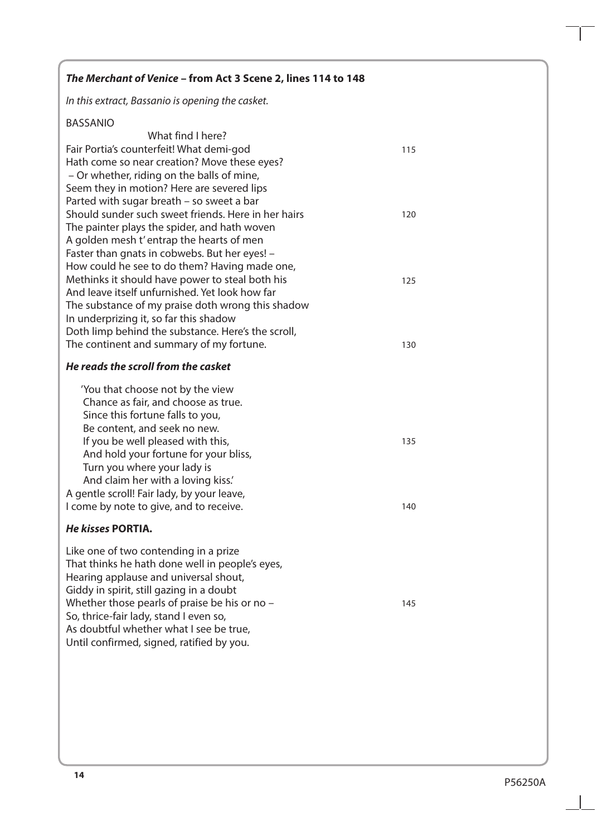*In this extract, Bassanio is opening the casket.*

#### BASSANIO

| What find I here?                                                                                                                                                                                                                                                                                                                                                                      |            |
|----------------------------------------------------------------------------------------------------------------------------------------------------------------------------------------------------------------------------------------------------------------------------------------------------------------------------------------------------------------------------------------|------------|
| Fair Portia's counterfeit! What demi-god<br>Hath come so near creation? Move these eyes?<br>- Or whether, riding on the balls of mine,<br>Seem they in motion? Here are severed lips<br>Parted with sugar breath - so sweet a bar                                                                                                                                                      | 115        |
| Should sunder such sweet friends. Here in her hairs<br>The painter plays the spider, and hath woven<br>A golden mesh t'entrap the hearts of men<br>Faster than gnats in cobwebs. But her eyes! -<br>How could he see to do them? Having made one,                                                                                                                                      | 120        |
| Methinks it should have power to steal both his<br>And leave itself unfurnished. Yet look how far<br>The substance of my praise doth wrong this shadow<br>In underprizing it, so far this shadow<br>Doth limp behind the substance. Here's the scroll,<br>The continent and summary of my fortune.                                                                                     | 125<br>130 |
| He reads the scroll from the casket                                                                                                                                                                                                                                                                                                                                                    |            |
| 'You that choose not by the view<br>Chance as fair, and choose as true.<br>Since this fortune falls to you,<br>Be content, and seek no new.<br>If you be well pleased with this,<br>And hold your fortune for your bliss,<br>Turn you where your lady is<br>And claim her with a loving kiss.<br>A gentle scroll! Fair lady, by your leave,<br>I come by note to give, and to receive. | 135<br>140 |
| <b>He kisses PORTIA.</b>                                                                                                                                                                                                                                                                                                                                                               |            |
| Like one of two contending in a prize<br>That thinks he hath done well in people's eyes,<br>Hearing applause and universal shout,<br>Giddy in spirit, still gazing in a doubt<br>Whether those pearls of praise be his or no -<br>So, thrice-fair lady, stand I even so,<br>As doubtful whether what I see be true,<br>Until confirmed, signed, ratified by you.                       | 145        |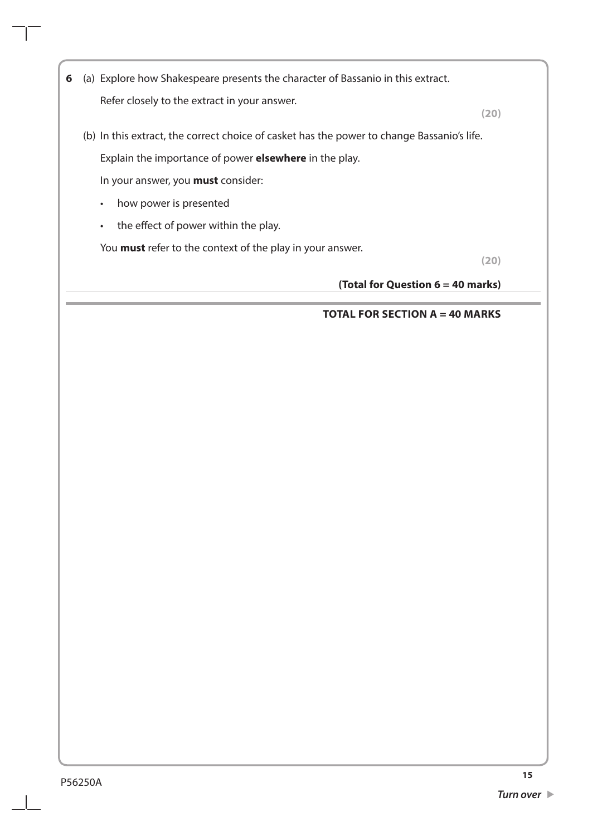| 6 | (a) Explore how Shakespeare presents the character of Bassanio in this extract.            |      |
|---|--------------------------------------------------------------------------------------------|------|
|   | Refer closely to the extract in your answer.                                               | (20) |
|   | (b) In this extract, the correct choice of casket has the power to change Bassanio's life. |      |
|   | Explain the importance of power <b>elsewhere</b> in the play.                              |      |
|   | In your answer, you <b>must</b> consider:                                                  |      |
|   | how power is presented<br>$\bullet$                                                        |      |
|   | the effect of power within the play.<br>٠                                                  |      |
|   | You <b>must</b> refer to the context of the play in your answer.                           |      |

**(20)**

**(Total for Question 6 = 40 marks)**

#### **TOTAL FOR SECTION A = 40 MARKS**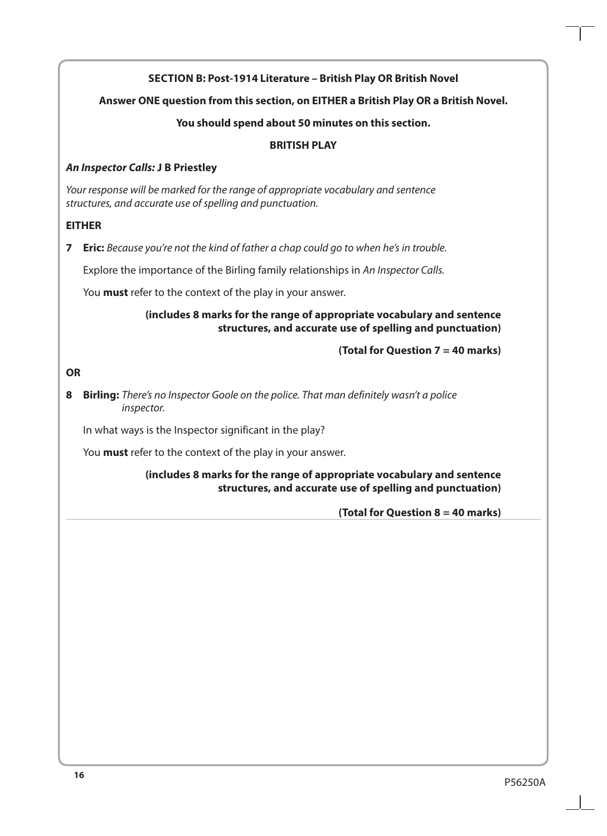#### **SECTION B: Post-1914 Literature – British Play OR British Novel**

#### **Answer ONE question from this section, on EITHER a British Play OR a British Novel.**

#### **You should spend about 50 minutes on this section.**

#### **BRITISH PLAY**

#### *An Inspector Calls:* **J B Priestley**

*Your response will be marked for the range of appropriate vocabulary and sentence structures, and accurate use of spelling and punctuation.*

#### **EITHER**

**7 Eric:** *Because you're not the kind of father a chap could go to when he's in trouble.*

Explore the importance of the Birling family relationships in *An Inspector Calls.*

You **must** refer to the context of the play in your answer.

#### **(includes 8 marks for the range of appropriate vocabulary and sentence structures, and accurate use of spelling and punctuation)**

#### **(Total for Question 7 = 40 marks)**

#### **OR**

**8 Birling:** *There's no Inspector Goole on the police. That man definitely wasn't a police inspector.* 

In what ways is the Inspector significant in the play?

You **must** refer to the context of the play in your answer.

**(includes 8 marks for the range of appropriate vocabulary and sentence structures, and accurate use of spelling and punctuation)**

**(Total for Question 8 = 40 marks)**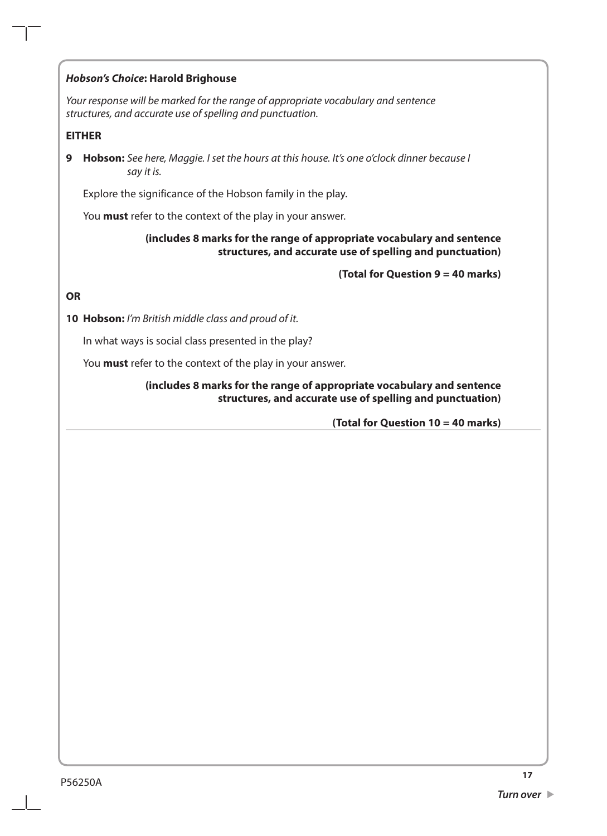#### *Hobson's Choice***: Harold Brighouse**

*Your response will be marked for the range of appropriate vocabulary and sentence structures, and accurate use of spelling and punctuation.*

#### **EITHER**

**9 Hobson:** *See here, Maggie. I set the hours at this house. It's one o'clock dinner because I say it is.*

Explore the significance of the Hobson family in the play.

You **must** refer to the context of the play in your answer.

#### **(includes 8 marks for the range of appropriate vocabulary and sentence structures, and accurate use of spelling and punctuation)**

**(Total for Question 9 = 40 marks)**

#### **OR**

**10 Hobson:** *I'm British middle class and proud of it.*

In what ways is social class presented in the play?

You **must** refer to the context of the play in your answer.

#### **(includes 8 marks for the range of appropriate vocabulary and sentence structures, and accurate use of spelling and punctuation)**

**(Total for Question 10 = 40 marks)**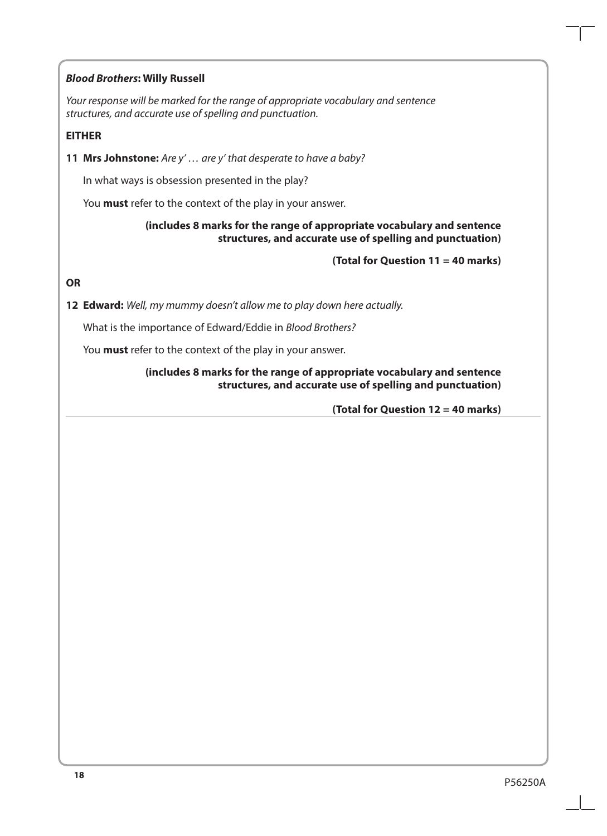#### *Blood Brothers***: Willy Russell**

*Your response will be marked for the range of appropriate vocabulary and sentence structures, and accurate use of spelling and punctuation.*

#### **EITHER**

**11 Mrs Johnstone:** *Are y' … are y' that desperate to have a baby?*

In what ways is obsession presented in the play?

You **must** refer to the context of the play in your answer.

#### **(includes 8 marks for the range of appropriate vocabulary and sentence structures, and accurate use of spelling and punctuation)**

**(Total for Question 11 = 40 marks)**

#### **OR**

**12 Edward:** *Well, my mummy doesn't allow me to play down here actually.*

What is the importance of Edward/Eddie in *Blood Brothers?*

You **must** refer to the context of the play in your answer.

**(includes 8 marks for the range of appropriate vocabulary and sentence structures, and accurate use of spelling and punctuation)**

**(Total for Question 12 = 40 marks)**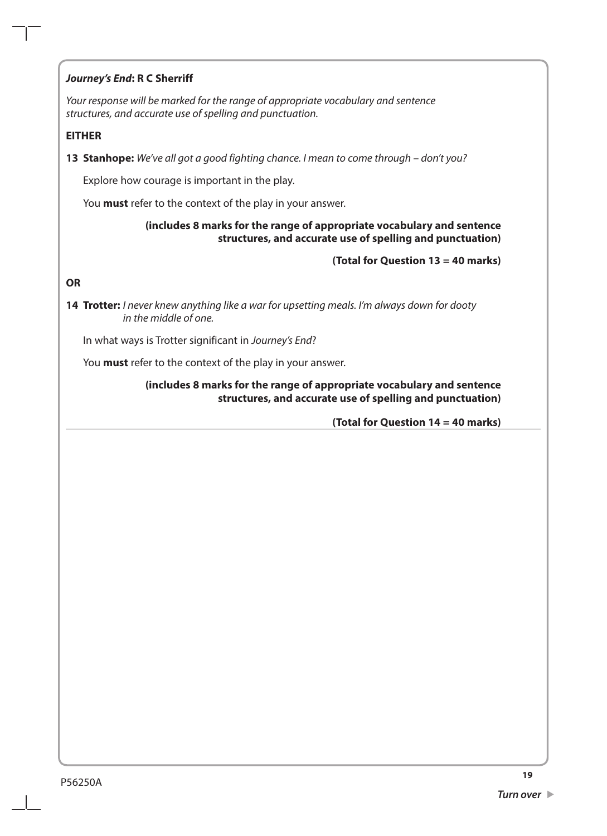#### *Journey's End***: R C Sherriff**

*Your response will be marked for the range of appropriate vocabulary and sentence structures, and accurate use of spelling and punctuation.*

#### **EITHER**

**13 Stanhope:** *We've all got a good fighting chance. I mean to come through – don't you?*

Explore how courage is important in the play.

You **must** refer to the context of the play in your answer.

#### **(includes 8 marks for the range of appropriate vocabulary and sentence structures, and accurate use of spelling and punctuation)**

**(Total for Question 13 = 40 marks)**

#### **OR**

**14 Trotter:** *I never knew anything like a war for upsetting meals. I'm always down for dooty in the middle of one.*

In what ways is Trotter significant in *Journey's End*?

You **must** refer to the context of the play in your answer.

#### **(includes 8 marks for the range of appropriate vocabulary and sentence structures, and accurate use of spelling and punctuation)**

**(Total for Question 14 = 40 marks)**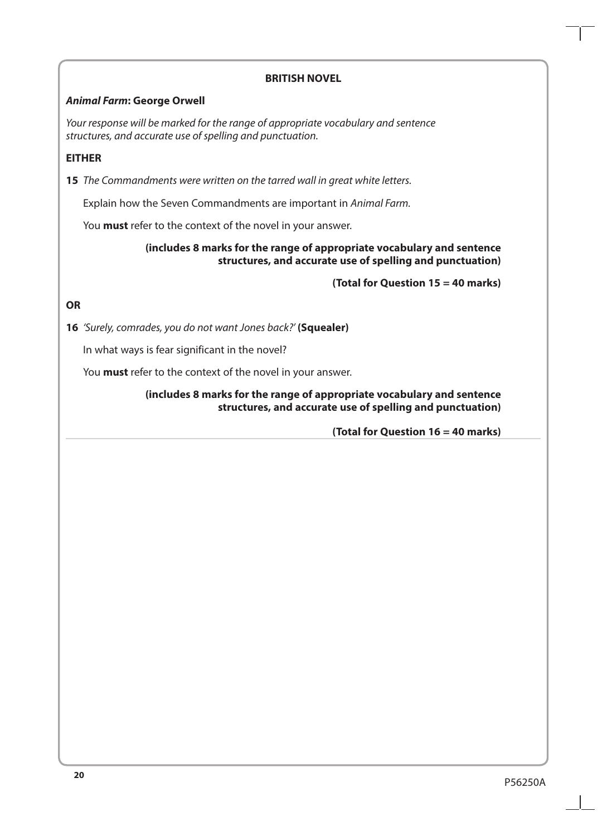#### **BRITISH NOVEL**

#### *Animal Farm***: George Orwell**

*Your response will be marked for the range of appropriate vocabulary and sentence structures, and accurate use of spelling and punctuation.*

#### **EITHER**

**15** *The Commandments were written on the tarred wall in great white letters.*

Explain how the Seven Commandments are important in *Animal Farm.*

You **must** refer to the context of the novel in your answer.

**(includes 8 marks for the range of appropriate vocabulary and sentence structures, and accurate use of spelling and punctuation)**

**(Total for Question 15 = 40 marks)**

#### **OR**

**16** *'Surely, comrades, you do not want Jones back?'* **(Squealer)**

In what ways is fear significant in the novel?

You **must** refer to the context of the novel in your answer.

**(includes 8 marks for the range of appropriate vocabulary and sentence structures, and accurate use of spelling and punctuation)**

**(Total for Question 16 = 40 marks)**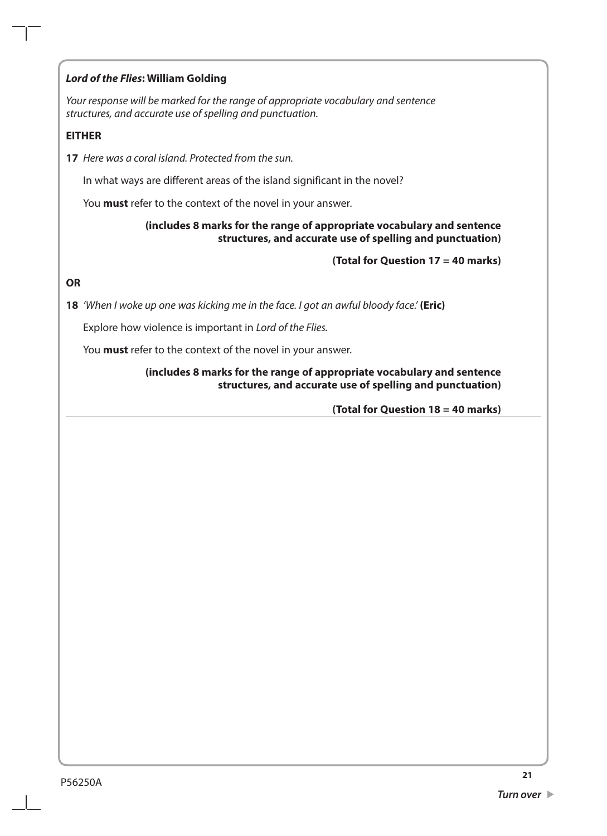#### *Lord of the Flies***: William Golding**

*Your response will be marked for the range of appropriate vocabulary and sentence structures, and accurate use of spelling and punctuation.*

#### **EITHER**

**17** *Here was a coral island. Protected from the sun.*

In what ways are different areas of the island significant in the novel?

You **must** refer to the context of the novel in your answer*.*

#### **(includes 8 marks for the range of appropriate vocabulary and sentence structures, and accurate use of spelling and punctuation)**

**(Total for Question 17 = 40 marks)**

#### **OR**

**18** *'When I woke up one was kicking me in the face. I got an awful bloody face.'* **(Eric)**

Explore how violence is important in *Lord of the Flies.*

You **must** refer to the context of the novel in your answer.

**(includes 8 marks for the range of appropriate vocabulary and sentence structures, and accurate use of spelling and punctuation)**

**(Total for Question 18 = 40 marks)**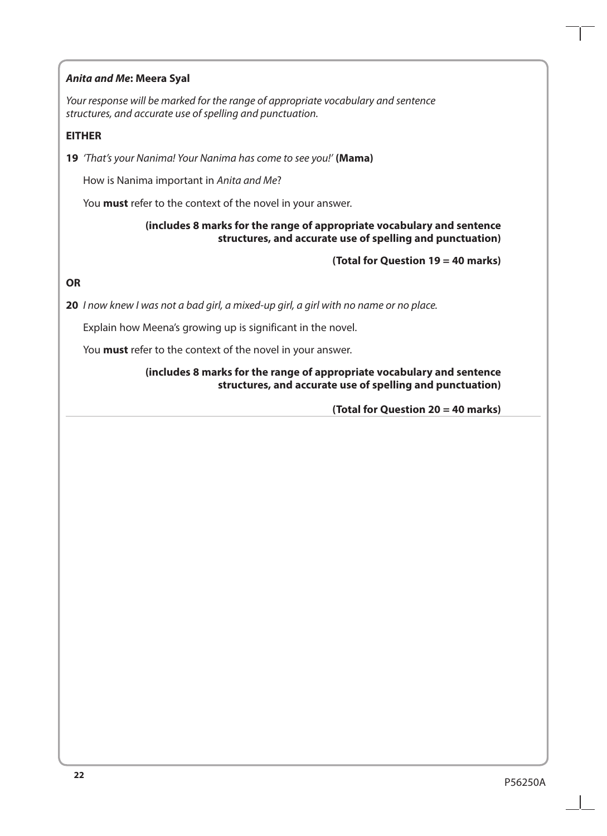#### *Anita and Me***: Meera Syal**

*Your response will be marked for the range of appropriate vocabulary and sentence structures, and accurate use of spelling and punctuation.*

#### **EITHER**

**19** *'That's your Nanima! Your Nanima has come to see you!'* **(Mama)**

How is Nanima important in *Anita and Me*?

You **must** refer to the context of the novel in your answer.

#### **(includes 8 marks for the range of appropriate vocabulary and sentence structures, and accurate use of spelling and punctuation)**

**(Total for Question 19 = 40 marks)**

#### **OR**

**20** *I now knew I was not a bad girl, a mixed-up girl, a girl with no name or no place.*

Explain how Meena's growing up is significant in the novel.

You **must** refer to the context of the novel in your answer.

#### **(includes 8 marks for the range of appropriate vocabulary and sentence structures, and accurate use of spelling and punctuation)**

**(Total for Question 20 = 40 marks)**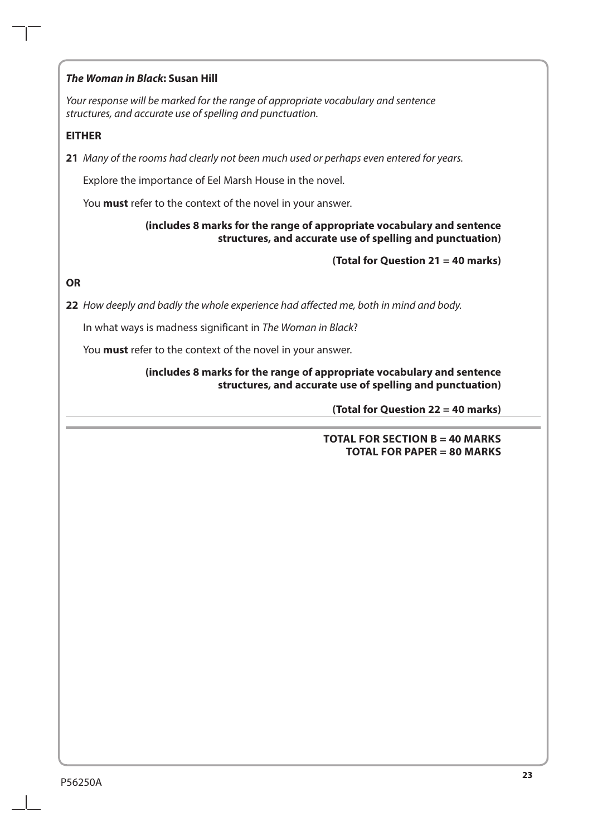#### *The Woman in Black***: Susan Hill**

*Your response will be marked for the range of appropriate vocabulary and sentence structures, and accurate use of spelling and punctuation.*

#### **EITHER**

**21** *Many of the rooms had clearly not been much used or perhaps even entered for years.* 

Explore the importance of Eel Marsh House in the novel.

You **must** refer to the context of the novel in your answer.

#### **(includes 8 marks for the range of appropriate vocabulary and sentence structures, and accurate use of spelling and punctuation)**

**(Total for Question 21 = 40 marks)**

#### **OR**

**22** *How deeply and badly the whole experience had affected me, both in mind and body.*

In what ways is madness significant in *The Woman in Black*?

You **must** refer to the context of the novel in your answer.

#### **(includes 8 marks for the range of appropriate vocabulary and sentence structures, and accurate use of spelling and punctuation)**

**(Total for Question 22 = 40 marks)**

**TOTAL FOR SECTION B = 40 MARKS TOTAL FOR PAPER = 80 MARKS**